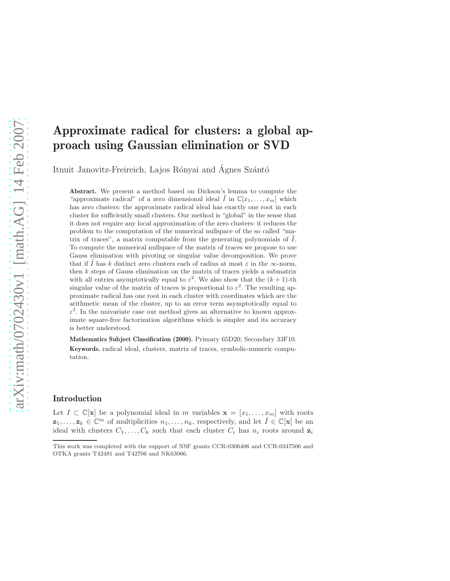# Approximate radical for clusters: a global approach using Gaussian elimination or SVD

Itnuit Janovitz-Freireich, Lajos Rónyai and Ágnes Szántó

Abstract. We present a method based on Dickson's lemma to compute the "approximate radical" of a zero dimensional ideal I in  $\mathbb{C}[x_1, \ldots, x_m]$  which has zero clusters: the approximate radical ideal has exactly one root in each cluster for sufficiently small clusters. Our method is "global" in the sense that it does not require any local approximation of the zero clusters: it reduces the problem to the computation of the numerical nullspace of the so called "matrix of traces", a matrix computable from the generating polynomials of  $\tilde{I}$ . To compute the numerical nullspace of the matrix of traces we propose to use Gauss elimination with pivoting or singular value decomposition. We prove that if I has k distinct zero clusters each of radius at most  $\varepsilon$  in the  $\infty$ -norm, then  $k$  steps of Gauss elimination on the matrix of traces yields a submatrix with all entries asymptotically equal to  $\varepsilon^2$ . We also show that the  $(k+1)$ -th singular value of the matrix of traces is proportional to  $\varepsilon^2$ . The resulting approximate radical has one root in each cluster with coordinates which are the arithmetic mean of the cluster, up to an error term asymptotically equal to  $\varepsilon^2$ . In the univariate case our method gives an alternative to known approximate square-free factorization algorithms which is simpler and its accuracy is better understood.

Mathematics Subject Classification (2000). Primary 65D20; Secondary 33F10. Keywords. radical ideal, clusters, matrix of traces, symbolic-numeric computation.

## Introduction

Let  $I \subset \mathbb{C}[\mathbf{x}]$  be a polynomial ideal in m variables  $\mathbf{x} = [x_1, \ldots, x_m]$  with roots  $\mathbf{z}_1, \ldots, \mathbf{z}_k \in \mathbb{C}^m$  of multiplicities  $n_1, \ldots, n_k$ , respectively, and let  $\tilde{I} \in \mathbb{C}[\mathbf{x}]$  be an ideal with clusters  $C_1, \ldots, C_k$  such that each cluster  $C_i$  has  $n_i$  roots around  $\mathbf{z}_i$ 

This work was completed with the support of NSF grants CCR-0306406 and CCR-0347506 and OTKA grants T42481 and T42706 and NK63066.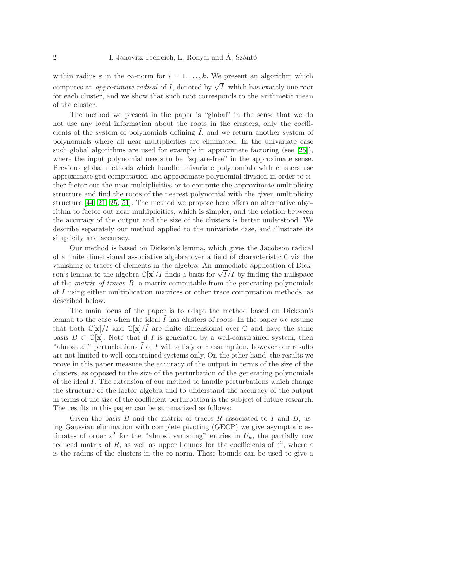within radius  $\varepsilon$  in the  $\infty$ -norm for  $i = 1, \ldots, k$ . We present an algorithm which computes an *approximate radical* of  $\tilde{I}$ , denoted by  $\sqrt{I}$ , which has exactly one root for each cluster, and we show that such root corresponds to the arithmetic mean of the cluster.

The method we present in the paper is "global" in the sense that we do not use any local information about the roots in the clusters, only the coefficients of the system of polynomials defining  $\tilde{I}$ , and we return another system of polynomials where all near multiplicities are eliminated. In the univariate case such global algorithms are used for example in approximate factoring (see [\[25\]](#page-29-0)), where the input polynomial needs to be "square-free" in the approximate sense. Previous global methods which handle univariate polynomials with clusters use approximate gcd computation and approximate polynomial division in order to either factor out the near multiplicities or to compute the approximate multiplicity structure and find the roots of the nearest polynomial with the given multiplicity structure [\[44,](#page-31-0) [21,](#page-29-1) [25,](#page-29-0) [51\]](#page-31-1). The method we propose here offers an alternative algorithm to factor out near multiplicities, which is simpler, and the relation between the accuracy of the output and the size of the clusters is better understood. We describe separately our method applied to the univariate case, and illustrate its simplicity and accuracy.

Our method is based on Dickson's lemma, which gives the Jacobson radical of a finite dimensional associative algebra over a field of characteristic 0 via the vanishing of traces of elements in the algebra. An immediate application of Dickson's lemma to the algebra  $\mathbb{C}[\mathbf{x}]/I$  finds a basis for  $\sqrt{I}/I$  by finding the nullspace of the *matrix of traces* R, a matrix computable from the generating polynomials of I using either multiplication matrices or other trace computation methods, as described below.

The main focus of the paper is to adapt the method based on Dickson's lemma to the case when the ideal  $\tilde{I}$  has clusters of roots. In the paper we assume that both  $\mathbb{C}[\mathbf{x}]/I$  and  $\mathbb{C}[\mathbf{x}]/\tilde{I}$  are finite dimensional over  $\mathbb{C}$  and have the same basis  $B \subset \mathbb{C}[\mathbf{x}]$ . Note that if I is generated by a well-constrained system, then "almost all" perturbations  $\tilde{I}$  of I will satisfy our assumption, however our results are not limited to well-constrained systems only. On the other hand, the results we prove in this paper measure the accuracy of the output in terms of the size of the clusters, as opposed to the size of the perturbation of the generating polynomials of the ideal I. The extension of our method to handle perturbations which change the structure of the factor algebra and to understand the accuracy of the output in terms of the size of the coefficient perturbation is the subject of future research. The results in this paper can be summarized as follows:

Given the basis B and the matrix of traces R associated to  $\tilde{I}$  and B, using Gaussian elimination with complete pivoting (GECP) we give asymptotic estimates of order  $\varepsilon^2$  for the "almost vanishing" entries in  $U_k$ , the partially row reduced matrix of R, as well as upper bounds for the coefficients of  $\varepsilon^2$ , where  $\varepsilon$ is the radius of the clusters in the  $\infty$ -norm. These bounds can be used to give a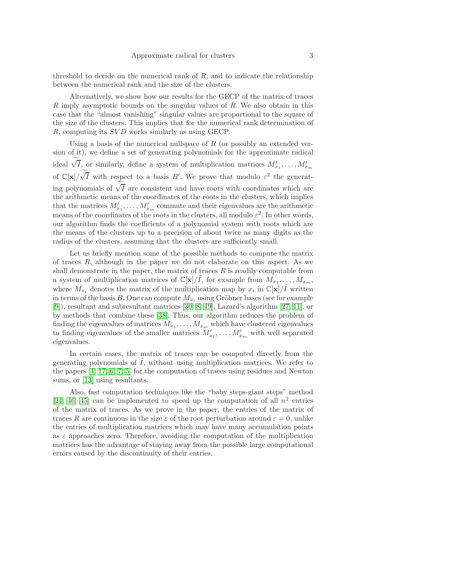threshold to decide on the numerical rank of  $R$ , and to indicate the relationship between the numerical rank and the size of the clusters.

Alternatively, we show how our results for the GECP of the matrix of traces  $R$  imply asymptotic bounds on the singular values of  $R$ . We also obtain in this case that the "almost vanishing" singular values are proportional to the square of the size of the clusters. This implies that for the numerical rank determination of R, computing its  $SVD$  works similarly as using GECP.

Using a basis of the numerical nullspace of  $R$  (or possibly an extended version of it), we define a set of generating polynomials for the approximate radical ideal  $\widetilde{\sqrt{I}}$ , or similarly, define a system of multiplication matrices  $M'_{x_1}, \ldots, M'_{x_m}$ of  $\mathbb{C}[\mathbf{x}]/\widetilde{\sqrt{I}}$  with respect to a basis B'. We prove that modulo  $\varepsilon^2$  the generating polynomials of  $\sqrt{I}$  are consistent and have roots with coordinates which are the arithmetic means of the coordinates of the roots in the clusters, which implies that the matrices  $M'_{x_1}, \ldots, M'_{x_m}$  commute and their eigenvalues are the arithmetic means of the coordinates of the roots in the clusters, all modulo  $\varepsilon^2$ . In other words, our algorithm finds the coefficients of a polynomial system with roots which are the means of the clusters up to a precision of about twice as many digits as the radius of the clusters, assuming that the clusters are sufficiently small.

Let us briefly mention some of the possible methods to compute the matrix of traces R, although in the paper we do not elaborate on this aspect. As we shall demonstrate in the paper, the matrix of traces  $R$  is readily computable from a system of multiplication matrices of  $\mathbb{C}[\mathbf{x}]/\tilde{I}$ , for example from  $M_{x_1}, \ldots, M_{x_m}$ , where  $M_{x_i}$  denotes the matrix of the multiplication map by  $x_i$  in  $\mathbb{C}[\mathbf{x}]/\tilde{I}$  written in terms of the basis B. One can compute  $M_{x_i}$  using Gröbner bases (see for example [\[9\]](#page-29-2)), resultant and subresultant matrices [\[30,](#page-30-0) [8,](#page-29-3) [49\]](#page-31-2), Lazard's algorithm [\[27,](#page-30-1) [11\]](#page-29-4), or by methods that combine these [\[38\]](#page-30-2). Thus, our algorithm reduces the problem of finding the eigenvalues of matrices  $M_{x_1}, \ldots, M_{x_m}$  which have clustered eigenvalues to finding eigenvalues of the smaller matrices  $M'_{x_1}, \ldots, M'_{x_m}$  with well separated eigenvalues.

In certain cases, the matrix of traces can be computed directly from the generating polynomials of  $\tilde{I}$ , without using multiplication matrices. We refer to the papers [\[4,](#page-28-0) [17,](#page-29-5) [6,](#page-28-1) [7,](#page-29-6) [5\]](#page-28-2) for the computation of traces using residues and Newton sums, or [\[13\]](#page-29-7) using resultants.

Also, fast computation techniques like the "baby steps-giant steps" method [\[24,](#page-29-8) [46,](#page-31-3) [45\]](#page-31-4) can be implemented to speed up the computation of all  $n^2$  entries of the matrix of traces. As we prove in the paper, the entries of the matrix of traces R are continuous in the size  $\varepsilon$  of the root perturbation around  $\varepsilon = 0$ , unlike the entries of multiplication matrices which may have many accumulation points as  $\varepsilon$  approaches zero. Therefore, avoiding the computation of the multiplication matrices has the advantage of staying away from the possible large computational errors caused by the discontinuity of their entries.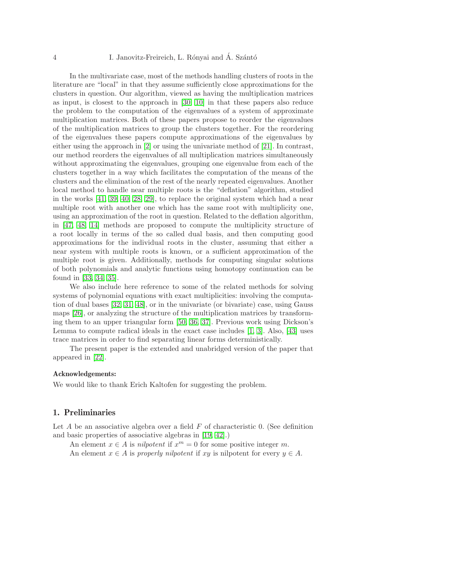In the multivariate case, most of the methods handling clusters of roots in the literature are "local" in that they assume sufficiently close approximations for the clusters in question. Our algorithm, viewed as having the multiplication matrices as input, is closest to the approach in [\[30,](#page-30-0) [10\]](#page-29-9) in that these papers also reduce the problem to the computation of the eigenvalues of a system of approximate multiplication matrices. Both of these papers propose to reorder the eigenvalues of the multiplication matrices to group the clusters together. For the reordering of the eigenvalues these papers compute approximations of the eigenvalues by either using the approach in [\[2\]](#page-28-3) or using the univariate method of [\[21\]](#page-29-1). In contrast, our method reorders the eigenvalues of all multiplication matrices simultaneously without approximating the eigenvalues, grouping one eigenvalue from each of the clusters together in a way which facilitates the computation of the means of the clusters and the elimination of the rest of the nearly repeated eigenvalues. Another local method to handle near multiple roots is the "deflation" algorithm, studied in the works [\[41,](#page-30-3) [39,](#page-30-4) [40,](#page-30-5) [28,](#page-30-6) [29\]](#page-30-7), to replace the original system which had a near multiple root with another one which has the same root with multiplicity one, using an approximation of the root in question. Related to the deflation algorithm, in [\[47,](#page-31-5) [48,](#page-31-6) [14\]](#page-29-10) methods are proposed to compute the multiplicity structure of a root locally in terms of the so called dual basis, and then computing good approximations for the individual roots in the cluster, assuming that either a near system with multiple roots is known, or a sufficient approximation of the multiple root is given. Additionally, methods for computing singular solutions of both polynomials and analytic functions using homotopy continuation can be found in [\[33,](#page-30-8) [34,](#page-30-9) [35\]](#page-30-10).

We also include here reference to some of the related methods for solving systems of polynomial equations with exact multiplicities: involving the computation of dual bases [\[32,](#page-30-11) [31,](#page-30-12) [48\]](#page-31-6), or in the univariate (or bivariate) case, using Gauss maps [\[26\]](#page-30-13), or analyzing the structure of the multiplication matrices by transforming them to an upper triangular form [\[50,](#page-31-7) [36,](#page-30-14) [37\]](#page-30-15). Previous work using Dickson's Lemma to compute radical ideals in the exact case includes [\[1,](#page-28-4) [3\]](#page-28-5). Also, [\[43\]](#page-31-8) uses trace matrices in order to find separating linear forms deterministically.

The present paper is the extended and unabridged version of the paper that appeared in [\[22\]](#page-29-11).

## Acknowledgements:

We would like to thank Erich Kaltofen for suggesting the problem.

## 1. Preliminaries

Let  $A$  be an associative algebra over a field  $F$  of characteristic 0. (See definition and basic properties of associative algebras in [\[19,](#page-29-12) [42\]](#page-30-16).)

An element  $x \in A$  is *nilpotent* if  $x^m = 0$  for some positive integer m.

An element  $x \in A$  is *properly nilpotent* if  $xy$  is nilpotent for every  $y \in A$ .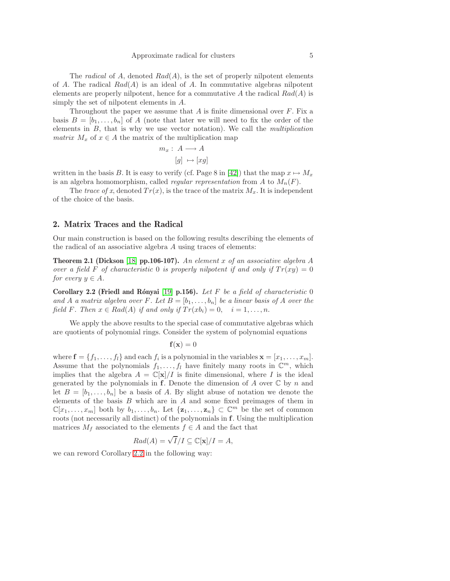The *radical* of  $A$ , denoted  $Rad(A)$ , is the set of properly nilpotent elements of A. The radical  $Rad(A)$  is an ideal of A. In commutative algebras nilpotent elements are properly nilpotent, hence for a commutative A the radical  $Rad(A)$  is simply the set of nilpotent elements in A.

Throughout the paper we assume that  $A$  is finite dimensional over  $F$ . Fix a basis  $B = [b_1, \ldots, b_n]$  of A (note that later we will need to fix the order of the elements in B, that is why we use vector notation). We call the *multiplication matrix*  $M_x$  of  $x \in A$  the matrix of the multiplication map

$$
m_x: A \longrightarrow A
$$

$$
[g] \longmapsto [xg]
$$

written in the basis B. It is easy to verify (cf. Page 8 in [\[42\]](#page-30-16)) that the map  $x \mapsto M_x$ is an algebra homomorphism, called *regular representation* from A to  $M_n(F)$ .

The *trace of x*, denoted  $Tr(x)$ , is the trace of the matrix  $M_x$ . It is independent of the choice of the basis.

## 2. Matrix Traces and the Radical

Our main construction is based on the following results describing the elements of the radical of an associative algebra A using traces of elements:

Theorem 2.1 (Dickson [\[18\]](#page-29-13) pp.106-107). *An element* x *of an associative algebra* A *over a field* F *of characteristic* 0 *is properly nilpotent if and only if*  $Tr(xy) = 0$ *for every*  $y \in A$ *.* 

<span id="page-4-0"></span>Corollary 2.2 (Friedl and R´onyai [\[19\]](#page-29-12) p.156). *Let* F *be a field of characteristic* 0 and A a matrix algebra over F. Let  $B = [b_1, \ldots, b_n]$  be a linear basis of A over the *field* F. Then  $x \in Rad(A)$  *if and only if*  $Tr(xb_i) = 0$ ,  $i = 1, ..., n$ .

We apply the above results to the special case of commutative algebras which are quotients of polynomial rings. Consider the system of polynomial equations

$$
\mathbf{f}(\mathbf{x}) = 0
$$

where  $\mathbf{f} = \{f_1, \ldots, f_l\}$  and each  $f_i$  is a polynomial in the variables  $\mathbf{x} = [x_1, \ldots, x_m]$ . Assume that the polynomials  $f_1, \ldots, f_l$  have finitely many roots in  $\mathbb{C}^m$ , which implies that the algebra  $A = \mathbb{C}[\mathbf{x}]/I$  is finite dimensional, where I is the ideal generated by the polynomials in f. Denote the dimension of A over  $\mathbb C$  by n and let  $B = [b_1, \ldots, b_n]$  be a basis of A. By slight abuse of notation we denote the elements of the basis  $B$  which are in  $A$  and some fixed preimages of them in  $\mathbb{C}[x_1,\ldots,x_m]$  both by  $b_1,\ldots,b_n$ . Let  $\{z_1,\ldots,z_n\}\subset\mathbb{C}^m$  be the set of common roots (not necessarily all distinct) of the polynomials in f. Using the multiplication matrices  $M_f$  associated to the elements  $f \in A$  and the fact that

$$
Rad(A) = \sqrt{I}/I \subseteq \mathbb{C}[\mathbf{x}]/I = A,
$$

<span id="page-4-1"></span>we can reword Corollary [2.2](#page-4-0) in the following way: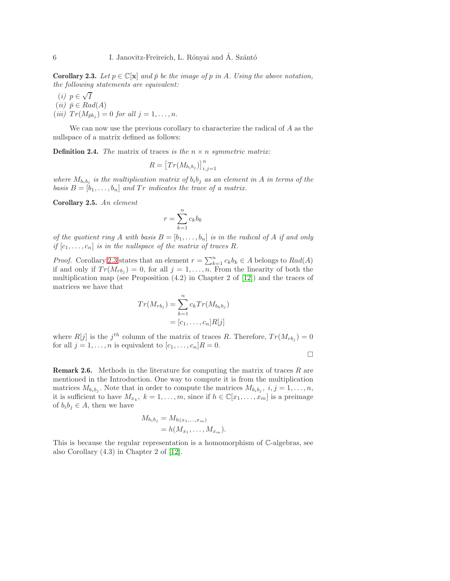**Corollary 2.3.** *Let*  $p \in \mathbb{C}[\mathbf{x}]$  *and*  $\bar{p}$  *be the image of* p *in* A. Using the above notation, *the following statements are equivalent:*

 $(i)$   $p \in \sqrt{I}$  $(ii) \ \bar{p} \in Rad(A)$  $(iii)$   $Tr(M_{\bar{p}b_j}) = 0$  *for all*  $j = 1, ..., n$ .

<span id="page-5-0"></span>We can now use the previous corollary to characterize the radical of A as the nullspace of a matrix defined as follows:

**Definition 2.4.** *The* matrix of traces *is the*  $n \times n$  *symmetric matrix:* 

$$
R = \left[Tr(M_{b_i b_j})\right]_{i,j=1}^n
$$

where  $M_{b_i b_j}$  is the multiplication matrix of  $b_i b_j$  as an element in A in terms of the *basis*  $B = [b_1, \ldots, b_n]$  *and*  $Tr$  *indicates the trace of a matrix.* 

<span id="page-5-2"></span>Corollary 2.5. *An element*

$$
r = \sum_{k=1}^{n} c_k b_k
$$

*of the quotient ring* A *with basis*  $B = [b_1, \ldots, b_n]$  *is in the radical of* A *if and only if*  $[c_1, \ldots, c_n]$  *is in the nullspace of the matrix of traces* R.

*Proof.* Corollary [2.3](#page-4-1) states that an element  $r = \sum_{k=1}^{n} c_k b_k \in A$  belongs to  $Rad(A)$ if and only if  $Tr(M_{rb_j}) = 0$ , for all  $j = 1, \ldots, n$ . From the linearity of both the multiplication map (see Proposition  $(4.2)$  in Chapter 2 of  $[12]$ ) and the traces of matrices we have that

$$
Tr(M_{rb_j}) = \sum_{k=1}^{n} c_k Tr(M_{b_k b_j})
$$
  
= [c<sub>1</sub>,...,c<sub>n</sub>]R[j]

where  $R[j]$  is the j<sup>th</sup> column of the matrix of traces R. Therefore,  $Tr(M_{rb_j})=0$ for all  $j = 1, \ldots, n$  is equivalent to  $[c_1, \ldots, c_n]R = 0$ .

 $\Box$ 

<span id="page-5-1"></span>**Remark 2.6.** Methods in the literature for computing the matrix of traces  $R$  are mentioned in the Introduction. One way to compute it is from the multiplication matrices  $M_{b_i b_j}$ . Note that in order to compute the matrices  $M_{b_i b_j}$ ,  $i, j = 1, \ldots, n$ , it is sufficient to have  $M_{x_k}$ ,  $k = 1, ..., m$ , since if  $h \in \mathbb{C}[x_1, ..., x_m]$  is a preimage of  $b_i b_j \in A$ , then we have

$$
M_{b_i b_j} = M_{h(x_1,\ldots,x_m)}
$$
  
=  $h(M_{x_1},\ldots,M_{x_m}).$ 

<span id="page-5-3"></span>This is because the regular representation is a homomorphism of C-algebras, see also Corollary (4.3) in Chapter 2 of [\[12\]](#page-29-14).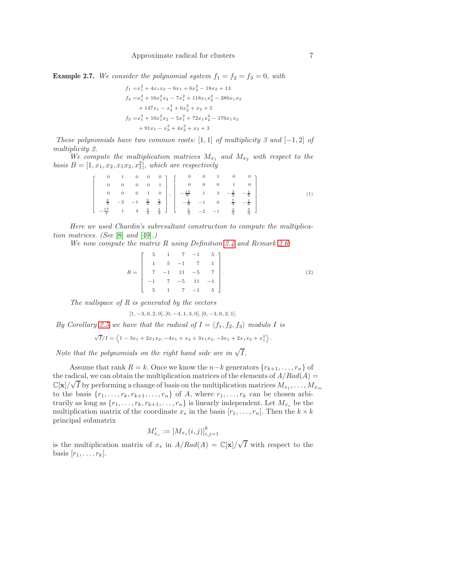**Example 2.7.** We consider the polynomial system  $f_1 = f_2 = f_3 = 0$ , with

$$
f_1 = x_1^2 + 4x_1x_2 - 6x_1 + 6x_2^2 - 18x_2 + 13
$$
  
\n
$$
f_2 = x_1^3 + 16x_1^2x_2 - 7x_1^2 + 118x_1x_2^2 - 286x_1x_2
$$
  
\n
$$
+ 147x_1 - x_2^3 + 6x_2^2 + x_2 + 5
$$
  
\n
$$
f_3 = x_1^3 + 10x_1^2x_2 - 5x_1^2 + 72x_1x_2^2 - 176x_1x_2
$$
  
\n
$$
+ 91x_1 - x_2^3 + 4x_2^2 + x_2 + 3
$$

*These polynomials have two common roots:* [1, 1] *of multiplicity 3 and* [−1, 2] *of multiplicity 2.*

*We compute the multiplication matrices*  $M_{x_1}$  *and*  $M_{x_2}$  *with respect to the basis*  $B = [1, x_1, x_2, x_1x_2, x_1^2]$ *, which are respectively* 

<span id="page-6-1"></span>
$$
\begin{bmatrix}\n0 & 1 & 0 & 0 & 0 \\
0 & 0 & 0 & 0 & 1 \\
0 & 0 & 0 & 1 & 0 \\
\frac{5}{3} & -2 & -1 & \frac{2}{3} & \frac{5}{3} \\
-\frac{17}{3} & 1 & 4 & \frac{4}{3} & \frac{1}{3}\n\end{bmatrix}, \begin{bmatrix}\n0 & 0 & 1 & 0 & 0 \\
0 & 0 & 0 & 1 & 0 \\
-\frac{13}{6} & 1 & 3 & -\frac{2}{3} & -\frac{1}{6} \\
-\frac{1}{6} & -1 & 0 & \frac{7}{3} & -\frac{1}{6} \\
\frac{5}{3} & -2 & -1 & \frac{2}{3} & \frac{5}{3}\n\end{bmatrix}.
$$
\n(1)

*Here we used Chardin's subresultant construction to compute the multiplication matrices. (See* [\[8\]](#page-29-3) *and* [\[49\]](#page-31-2)*.)*

*We now compute the matrix* R *using Definition [2.4](#page-5-0) and Remark [2.6:](#page-5-1)*

<span id="page-6-2"></span>
$$
R = \begin{bmatrix} 5 & 1 & 7 & -1 & 5 \\ 1 & 5 & -1 & 7 & 1 \\ 7 & -1 & 11 & -5 & 7 \\ -1 & 7 & -5 & 11 & -1 \\ 5 & 1 & 7 & -1 & 5 \end{bmatrix}.
$$
 (2)

*The nullspace of R is generated by the vectors*

 $[1, -3, 0, 2, 0], [0, -4, 1, 3, 0], [0, -3, 0, 2, 1].$ 

*By Corollary* [2.5](#page-5-2) *we have that the radical of*  $I = \langle f_1, f_2, f_3 \rangle$  *modulo* I *is* 

$$
\sqrt{I}/I = \left\langle 1 - 3x_1 + 2x_1x_2, -4x_1 + x_2 + 3x_1x_2, -3x_1 + 2x_1x_2 + x_1^2 \right\rangle.
$$

*Note that the polynomials on the right hand side are in*  $\sqrt{I}$ *.* 

Assume that rank  $R = k$ . Once we know the  $n-k$  generators  $\{r_{k+1}, \ldots, r_n\}$  of the radical, we can obtain the multiplication matrices of the elements of  $A/Rad(A)$  $\mathbb{C}[\mathbf{x}]/\sqrt{I}$  by performing a change of basis on the multiplication matrices  $M_{x_1}, \ldots, M_{x_m}$ to the basis  $\{r_1, \ldots, r_k, r_{k+1}, \ldots, r_n\}$  of A, where  $r_1, \ldots, r_k$  can be chosen arbitrarily as long as  $\{r_1, \ldots, r_k, r_{k+1}, \ldots, r_n\}$  is linearly independent. Let  $M_{x_s}$  be the multiplication matrix of the coordinate  $x_s$  in the basis  $[r_1, \ldots, r_n]$ . Then the  $k \times k$ principal submatrix

$$
M'_{x_s} := [M_{x_s}(i,j)]_{i,j=1}^k
$$

<span id="page-6-0"></span>is the multiplication matrix of  $x_s$  in  $A/Rad(A) = \mathbb{C}[\mathbf{x}]/\sqrt{I}$  with respect to the basis  $[r_1, \ldots, r_k]$ .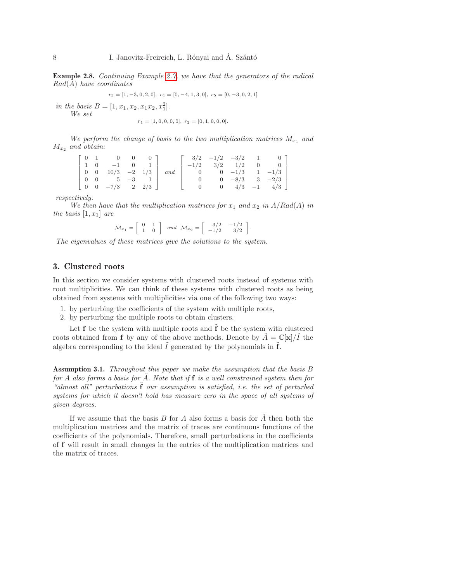Example 2.8. *Continuing Example [2.7,](#page-5-3) we have that the generators of the radical* Rad(A) *have coordinates*

 $r_3 = [1, -3, 0, 2, 0], r_4 = [0, -4, 1, 3, 0], r_5 = [0, -3, 0, 2, 1]$ 

*in the basis*  $B = [1, x_1, x_2, x_1x_2, x_1^2].$ *We set*  $r_1 = [1, 0, 0, 0, 0], r_2 = [0, 1, 0, 0, 0].$ 

We perform the change of basis to the two multiplication matrices  $M_{x_1}$  and  $M_{x_2}$  *and obtain:* 

|  | $\begin{bmatrix} 0 & 1 & 0 & 0 & 0 \end{bmatrix}$      |  | $\begin{bmatrix} 3/2 & -1/2 & -3/2 & 1 & 0 \end{bmatrix}$ |  |                          |  |
|--|--------------------------------------------------------|--|-----------------------------------------------------------|--|--------------------------|--|
|  | $J \qquad -1 \qquad 0$                                 |  | $-1/2$ $3/2$ $1/2$ 0                                      |  |                          |  |
|  | $0 \t 0 \t 10/3 \t -2 \t 1/3$                          |  |                                                           |  | $0 \t -1/3 \t 1 \t -1/3$ |  |
|  | $0 \t 0 \t 5 \t -3 \t 1$                               |  |                                                           |  | $0 \t -8/3 \t 3 \t -2/3$ |  |
|  | $\begin{bmatrix} 0 & 0 & -7/3 & 2 & 2/3 \end{bmatrix}$ |  | 0                                                         |  | 0 $4/3$ -1 $4/3$         |  |

*respectively.*

We then have that the multiplication matrices for  $x_1$  and  $x_2$  in  $A/Rad(A)$  in *the basis*  $[1, x_1]$  *are* 

$$
\mathcal{M}_{x_1}=\left[\begin{array}{cc}0&1\\1&0\end{array}\right]\quad and\quad \mathcal{M}_{x_2}=\left[\begin{array}{cc}3/2&-1/2\\-1/2&3/2\end{array}\right].
$$

*The eigenvalues of these matrices give the solutions to the system.*

## 3. Clustered roots

In this section we consider systems with clustered roots instead of systems with root multiplicities. We can think of these systems with clustered roots as being obtained from systems with multiplicities via one of the following two ways:

- 1. by perturbing the coefficients of the system with multiple roots,
- 2. by perturbing the multiple roots to obtain clusters.

Let  $f$  be the system with multiple roots and  $\hat{f}$  be the system with clustered roots obtained from **f** by any of the above methods. Denote by  $\tilde{A} = \mathbb{C}[\mathbf{x}]/\tilde{I}$  the algebra corresponding to the ideal  $\tilde{I}$  generated by the polynomials in  $\tilde{f}$ .

Assumption 3.1. *Throughout this paper we make the assumption that the basis* B *for* A *also forms a basis for* A˜*. Note that if* f *is a well constrained system then for "almost all" perturbations* ˜f *our assumption is satisfied, i.e. the set of perturbed systems for which it doesn't hold has measure zero in the space of all systems of given degrees.*

If we assume that the basis  $B$  for  $A$  also forms a basis for  $A$  then both the multiplication matrices and the matrix of traces are continuous functions of the coefficients of the polynomials. Therefore, small perturbations in the coefficients of f will result in small changes in the entries of the multiplication matrices and the matrix of traces.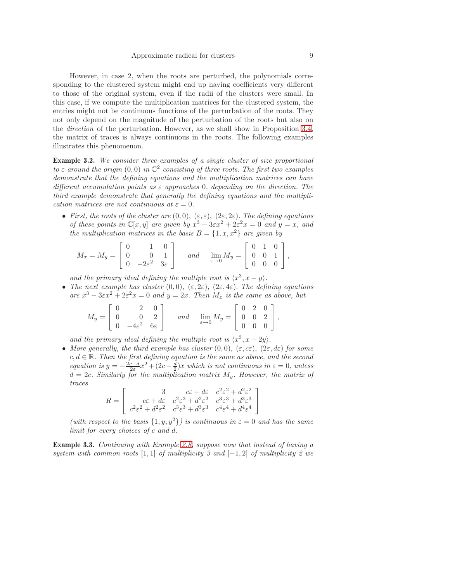However, in case 2, when the roots are perturbed, the polynomials corresponding to the clustered system might end up having coefficients very different to those of the original system, even if the radii of the clusters were small. In this case, if we compute the multiplication matrices for the clustered system, the entries might not be continuous functions of the perturbation of the roots. They not only depend on the magnitude of the perturbation of the roots but also on the *direction* of the perturbation. However, as we shall show in Proposition [3.4,](#page-9-0) the matrix of traces is always continuous in the roots. The following examples illustrates this phenomenon.

<span id="page-8-0"></span>Example 3.2. *We consider three examples of a single cluster of size proportional to*  $\varepsilon$  *around the origin*  $(0,0)$  *in*  $\mathbb{C}^2$  *consisting of three roots. The first two examples demonstrate that the defining equations and the multiplication matrices can have different accumulation points as* ε *approaches* 0*, depending on the direction. The third example demonstrate that generally the defining equations and the multiplication matrices are not continuous at*  $\varepsilon = 0$ *.* 

• *First, the roots of the cluster are*  $(0,0)$ ,  $(\varepsilon,\varepsilon)$ ,  $(2\varepsilon,2\varepsilon)$ *. The defining equations of these points in*  $\mathbb{C}[x, y]$  *are given by*  $x^3 - 3\varepsilon x^2 + 2\varepsilon^2 x = 0$  *and*  $y = x$ *, and the multiplication matrices in the basis*  $B = \{1, x, x^2\}$  *are given by* 

$$
M_x = M_y = \begin{bmatrix} 0 & 1 & 0 \\ 0 & 0 & 1 \\ 0 & -2\varepsilon^2 & 3\varepsilon \end{bmatrix} \quad \text{and} \quad \lim_{\varepsilon \to 0} M_y = \begin{bmatrix} 0 & 1 & 0 \\ 0 & 0 & 1 \\ 0 & 0 & 0 \end{bmatrix},
$$

and the primary ideal defining the multiple root is  $\langle x^3, x - y \rangle$ .

• The next example has cluster  $(0,0)$ ,  $(\varepsilon,2\varepsilon)$ ,  $(2\varepsilon,4\varepsilon)$ . The defining equations  $\int \arctan x^3 - 3\varepsilon x^2 + 2\varepsilon^2 x = 0$  and  $y = 2x$ . Then  $M_x$  *is the same as above, but* 

$$
M_y = \begin{bmatrix} 0 & 2 & 0 \\ 0 & 0 & 2 \\ 0 & -4\varepsilon^2 & 6\varepsilon \end{bmatrix} \quad \text{and} \quad \lim_{\varepsilon \to 0} M_y = \begin{bmatrix} 0 & 2 & 0 \\ 0 & 0 & 2 \\ 0 & 0 & 0 \end{bmatrix},
$$

and the primary ideal defining the multiple root is  $\langle x^3, x - 2y \rangle$ .

• *More generally, the third example has cluster*  $(0,0)$ ,  $(\varepsilon, c\varepsilon)$ ,  $(2\varepsilon, d\varepsilon)$  *for some*  $c, d \in \mathbb{R}$ . Then the first defining equation is the same as above, and the second *equation is*  $y = -\frac{2c-d}{2\varepsilon}x^2 + (2c - \frac{d}{2})x$  *which is not continuous in*  $\varepsilon = 0$ *, unless* d = 2c*. Similarly for the multiplication matrix* My*. However, the matrix of traces*

$$
R = \begin{bmatrix} 3 & c\epsilon + d\varepsilon & c^2\varepsilon^2 + d^2\varepsilon^2 \\ c\varepsilon + d\varepsilon & c^2\varepsilon^2 + d^2\varepsilon^2 & c^3\varepsilon^3 + d^3\varepsilon^3 \\ c^2\varepsilon^2 + d^2\varepsilon^2 & c^3\varepsilon^3 + d^3\varepsilon^3 & c^4\varepsilon^4 + d^4\varepsilon^4 \end{bmatrix}
$$

*(with respect to the basis*  $\{1, y, y^2\}$ *) is continuous in*  $\varepsilon = 0$  *and has the same limit for every choices of* c *and* d*.*

<span id="page-8-1"></span>Example 3.3. *Continuing with Example [2.8,](#page-6-0) suppose now that instead of having a system with common roots* [1, 1] *of multiplicity 3 and* [−1, 2] *of multiplicity 2 we*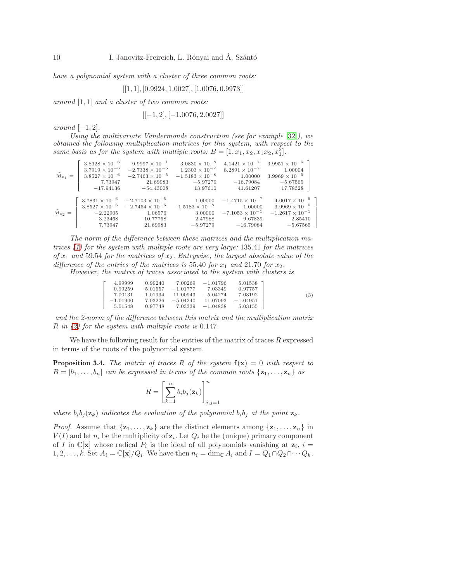*have a polynomial system with a cluster of three common roots:*

$$
\lbrack\lbrack 1, 1\rbrack, \lbrack 0.9924, 1.0027\rbrack, \lbrack 1.0076, 0.9973\rbrack\rbrack
$$

*around* [1, 1] *and a cluster of two common roots:*

$$
[[-1,2], [-1.0076, 2.0027]]
$$

*around* [−1, 2]*.*

*Using the multivariate Vandermonde construction (see for example* [\[32\]](#page-30-11)*), we obtained the following multiplication matrices for this system, with respect to the same basis as for the system with multiple roots:*  $B = [1, x_1, x_2, x_1x_2, x_1^2]$ .

| $\tilde{M}_{x_1} =$ | $3.8328 \times 10^{-6}$<br>$3.7919 \times 10^{-6}$<br>$3.8527 \times 10^{-6}$<br>7.73947<br>$-17.94136$ | $9.9997 \times 10^{-1}$<br>$-2.7338 \times 10^{-5}$<br>$-2.7463 \times 10^{-5}$<br>21.69983<br>$-54.43008$                                          | $3.0830 \times 10^{-8}$<br>$1.2303 \times 10^{-7}$<br>$-1.5183 \times 10^{-8}$<br>$-5.97279$<br>13.97610 | $8.2891 \times 10^{-7}$<br>1.00000<br>$-16.79084$<br>41.61207                             | $4.1421 \times 10^{-7}$ $3.9951 \times 10^{-5}$ ]<br>1.00004<br>$3.9969 \times 10^{-5}$<br>$-5.67565$<br>17.78328 |  |
|---------------------|---------------------------------------------------------------------------------------------------------|-----------------------------------------------------------------------------------------------------------------------------------------------------|----------------------------------------------------------------------------------------------------------|-------------------------------------------------------------------------------------------|-------------------------------------------------------------------------------------------------------------------|--|
| $\tilde{M}_{x_2} =$ | $3.7831 \times 10^{-6}$<br>$-2.22905$<br>$-3.23468$<br>7.73947                                          | $-2.7103 \times 10^{-5}$ 1.00000<br>$3.8527 \times 10^{-6}$ $-2.7464 \times 10^{-5}$ $-1.5183 \times 10^{-8}$<br>1.06576<br>$-10.77768$<br>21.69983 | 3.00000<br>2.47988<br>$-5.97279$                                                                         | $-1.4715 \times 10^{-7}$<br>1.00000<br>$-7.1053 \times 10^{-1}$<br>9.67839<br>$-16.79084$ | $4.0017 \times 10^{-5}$ ]<br>$3.9969 \times 10^{-5}$<br>$-1.2617 \times 10^{-1}$<br>2.85410<br>$-5.67565$         |  |

*The norm of the difference between these matrices and the multiplication matrices [\(1\)](#page-6-1) for the system with multiple roots are very large:* 135.41 *for the matrices of*  $x_1$  *and* 59.54 *for the matrices of*  $x_2$ *. Entrywise, the largest absolute value of the difference of the entries of the matrices is* 55.40 *for*  $x_1$  *and* 21.70 *for*  $x_2$ *.* 

*However, the matrix of traces associated to the system with clusters is*

<span id="page-9-1"></span>

*and the 2-norm of the difference between this matrix and the multiplication matrix* R *in [\(2\)](#page-6-2) for the system with multiple roots is* 0.147*.*

<span id="page-9-0"></span>We have the following result for the entries of the matrix of traces  $R$  expressed in terms of the roots of the polynomial system.

**Proposition 3.4.** *The matrix of traces* R *of the system*  $f(x) = 0$  *with respect to*  $B = [b_1, \ldots, b_n]$  *can be expressed in terms of the common roots*  $\{z_1, \ldots, z_n\}$  *as* 

$$
R = \left[\sum_{k=1}^{n} b_i b_j(\mathbf{z}_k)\right]_{i,j=1}^{n}
$$

*where*  $b_i b_j(\mathbf{z}_k)$  *indicates the evaluation of the polynomial*  $b_i b_j$  *at the point*  $\mathbf{z}_k$ *.* 

*Proof.* Assume that  $\{z_1, \ldots, z_k\}$  are the distinct elements among  $\{z_1, \ldots, z_n\}$  in  $V(I)$  and let  $n_i$  be the multiplicity of  $z_i$ . Let  $Q_i$  be the (unique) primary component of I in  $\mathbb{C}[\mathbf{x}]$  whose radical  $P_i$  is the ideal of all polynomials vanishing at  $\mathbf{z}_i$ ,  $i =$ 1, 2, ..., k. Set  $A_i = \mathbb{C}[\mathbf{x}]/Q_i$ . We have then  $n_i = \dim_{\mathbb{C}} A_i$  and  $I = Q_1 \cap Q_2 \cap \cdots Q_k$ .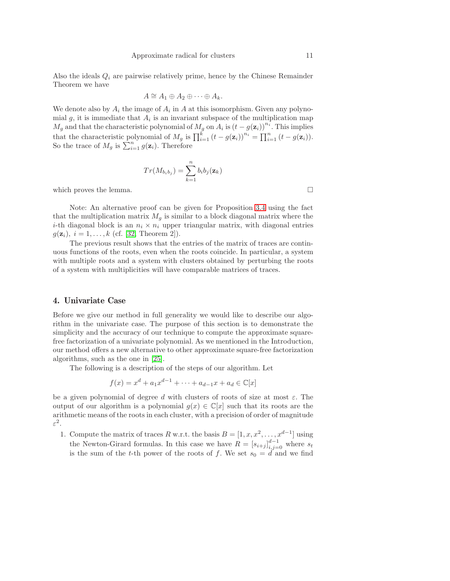Also the ideals  $Q_i$  are pairwise relatively prime, hence by the Chinese Remainder Theorem we have

$$
A \cong A_1 \oplus A_2 \oplus \cdots \oplus A_k.
$$

We denote also by  $A_i$  the image of  $A_i$  in A at this isomorphism. Given any polynomial g, it is immediate that  $A_i$  is an invariant subspace of the multiplication map  $M_g$  and that the characteristic polynomial of  $M_g$  on  $A_i$  is  $(t - g(\mathbf{z}_i))^{n_i}$ . This implies that the characteristic polynomial of  $M_g$  is  $\prod_{i=1}^k (t - g(\mathbf{z}_i))^{n_i} = \prod_{i=1}^n (t - g(\mathbf{z}_i)).$ So the trace of  $M_g$  is  $\sum_{i=1}^n g(\mathbf{z}_i)$ . Therefore

$$
Tr(M_{b_ib_j}) = \sum_{k=1}^{n} b_i b_j(\mathbf{z}_k)
$$

which proves the lemma.  $\Box$ 

Note: An alternative proof can be given for Proposition [3.4](#page-9-0) using the fact that the multiplication matrix  $M_q$  is similar to a block diagonal matrix where the *i*-th diagonal block is an  $n_i \times n_i$  upper triangular matrix, with diagonal entries  $g(\mathbf{z}_i), i = 1, ..., k$  (cf. [\[32,](#page-30-11) Theorem 2]).

The previous result shows that the entries of the matrix of traces are continuous functions of the roots, even when the roots coincide. In particular, a system with multiple roots and a system with clusters obtained by perturbing the roots of a system with multiplicities will have comparable matrices of traces.

#### 4. Univariate Case

Before we give our method in full generality we would like to describe our algorithm in the univariate case. The purpose of this section is to demonstrate the simplicity and the accuracy of our technique to compute the approximate squarefree factorization of a univariate polynomial. As we mentioned in the Introduction, our method offers a new alternative to other approximate square-free factorization algorithms, such as the one in [\[25\]](#page-29-0).

The following is a description of the steps of our algorithm. Let

$$
f(x) = x^{d} + a_1 x^{d-1} + \dots + a_{d-1} x + a_d \in \mathbb{C}[x]
$$

be a given polynomial of degree d with clusters of roots of size at most  $\varepsilon$ . The output of our algorithm is a polynomial  $g(x) \in \mathbb{C}[x]$  such that its roots are the arithmetic means of the roots in each cluster, with a precision of order of magnitude  $\varepsilon^2$ .

1. Compute the matrix of traces R w.r.t. the basis  $B = [1, x, x^2, \dots, x^{d-1}]$  using the Newton-Girard formulas. In this case we have  $R = [s_{i+j}]_{i,j=0}^{d-1}$  where  $s_t$ is the sum of the t-th power of the roots of f. We set  $s_0 = d$  and we find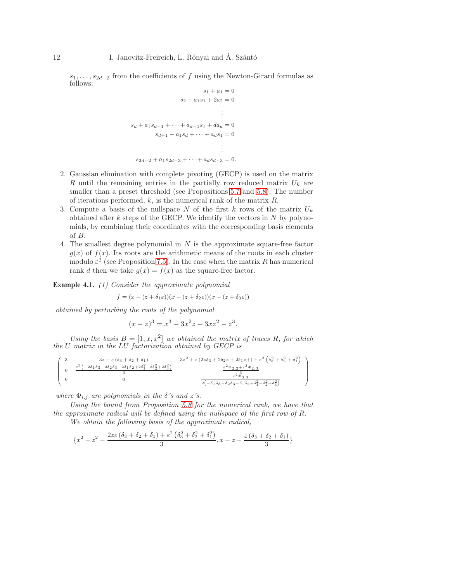$s_1, \ldots, s_{2d-2}$  from the coefficients of f using the Newton-Girard formulas as follows:

$$
s_1 + a_1 = 0
$$
  
\n
$$
s_2 + a_1 s_1 + 2a_2 = 0
$$
  
\n
$$
\vdots
$$
  
\n
$$
s_d + a_1 s_{d-1} + \dots + a_{d-1} s_1 + da_d = 0
$$
  
\n
$$
s_{d+1} + a_1 s_d + \dots + a_d s_1 = 0
$$
  
\n
$$
\vdots
$$
  
\n
$$
s_{2d-2} + a_1 s_{2d-3} + \dots + a_d s_{d-3} = 0.
$$

- 2. Gaussian elimination with complete pivoting (GECP) is used on the matrix R until the remaining entries in the partially row reduced matrix  $U_k$  are smaller than a preset threshold (see Propositions [5.7](#page-16-0) and [5.8\)](#page-17-0). The number of iterations performed,  $k$ , is the numerical rank of the matrix  $R$ .
- 3. Compute a basis of the nullspace N of the first k rows of the matrix  $U_k$ obtained after  $k$  steps of the GECP. We identify the vectors in  $N$  by polynomials, by combining their coordinates with the corresponding basis elements of B.
- 4. The smallest degree polynomial in  $N$  is the approximate square-free factor  $g(x)$  of  $f(x)$ . Its roots are the arithmetic means of the roots in each cluster modulo  $\varepsilon^2$  (see Proposition [7.5\)](#page-25-0). In the case when the matrix R has numerical rank d then we take  $g(x) = f(x)$  as the square-free factor.

Example 4.1. *(1) Consider the approximate polynomial*

$$
f = (x - (z + \delta_1 \varepsilon))(x - (z + \delta_2 \varepsilon))(x - (z + \delta_3 \varepsilon))
$$

*obtained by perturbing the roots of the polynomial*

$$
(x-z)^3 = x^3 - 3x^2z + 3xz^2 - z^3.
$$

Using the basis  $B = [1, x, x^2]$  we obtained the matrix of traces R, for which *the* U *matrix in the* LU *factorization obtained by GECP is*

$$
\left(\begin{array}{ccc} 3 & 3z+\varepsilon\left(\delta_3+\delta_2+\delta_1\right) & 3z^2+\varepsilon\left(2z\delta_3+2\delta_2z+2\delta_1z+\right)+\varepsilon^2\left(\delta_3^2+\delta_2^2+\delta_1^2\right) \\ 0 & \frac{\varepsilon^2\left(-2\delta_1\delta_3-2\delta_2\delta_3-2\delta_1\delta_2+2\delta_1^2+2\delta_2^2+2\delta_3^2\right)}{3} & \frac{\varepsilon^2\Phi_{2,2}+\varepsilon^3\Phi_{2,3}}{\varepsilon^4\Phi_{3,3}} \\ 0 & 0 & \frac{\varepsilon^4\delta_{3,3}}{2\left(-\delta_1\delta_3-\delta_2\delta_3-\delta_1\delta_2+\delta_1^2+\delta_2^2+\delta_3^2\right)} \end{array}\right)
$$

*where*  $\Phi_{i,j}$  *are polynomials in the*  $\delta$ *'s and*  $z$ *'s.* 

*Using the bound from Proposition [5.8](#page-17-0) for the numerical rank, we have that the approximate radical will be defined using the nullspace of the first row of* R*. We obtain the following basis of the approximate radical,*

$$
{x^2 - z^2 - \frac{2z\varepsilon(\delta_3 + \delta_2 + \delta_1) + \varepsilon^2(\delta_3^2 + \delta_2^2 + \delta_1^2)}{3}, x - z - \frac{\varepsilon(\delta_3 + \delta_2 + \delta_1)}{3}}
$$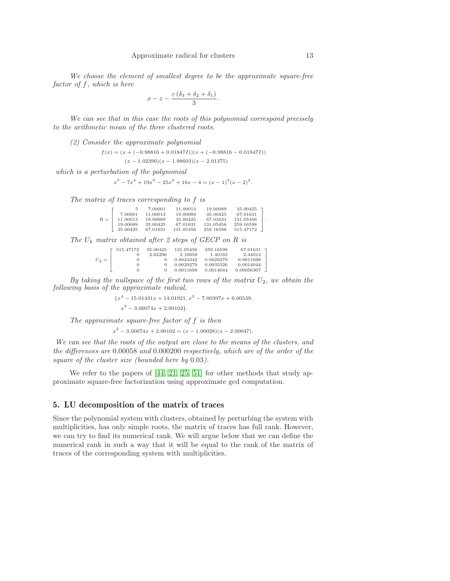*We choose the element of smallest degree to be the approximate square-free factor of* f*, which is here*

$$
x-z-\frac{\varepsilon(\delta_3+\delta_2+\delta_1)}{3}.
$$

*We can see that in this case the roots of this polynomial correspond precisely to the arithmetic mean of the three clustered roots.*

*(2) Consider the approximate polynomial*

 $f(x) = (x + (-0.98816 + 0.01847I))(x + (-0.98816 - 0.01847I))$  $(x - 1.02390)(x - 1.98603)(x - 2.01375)$ 

*which is a perturbation of the polynomial*

 $x^5 - 7x^4 + 19x^3 - 25x^2 + 16x - 4 = (x - 1)^3 (x - 2)^2$ .

*The matrix of traces corresponding to* f *is*

|       | Ð.          | 7.00001  | 11.00013  | 19.00089  | 35.00425  |  |
|-------|-------------|----------|-----------|-----------|-----------|--|
|       | 7.00001     | 11.00013 | 19.00089  | 35.00425  | 67.01631  |  |
| $R =$ | 11.00013    | 19.00089 | 35.00425  | 67.01631  | 131.05456 |  |
|       | 19.00089    | 35.00425 | 67.01631  | 131.05456 | 259.16598 |  |
|       | 1, 35.00425 | 67.01631 | 131.05456 | 259.16598 | 515.47172 |  |

*The* U<sup>k</sup> *matrix obtained after 2 steps of GECP on* R *is*

|         | 515.47172 | 35.00425 | 131.05456 | 259.16598 | 67.01631   |  |
|---------|-----------|----------|-----------|-----------|------------|--|
|         | O         | 2.62296  | 2.10058   | 1.40165   | 2.44912    |  |
| $U_2 =$ | $\theta$  |          | 0.0024342 | 0.0029279 | 0.0011698  |  |
|         | 0         |          | 0.0029279 | 0.0035326 | 0.0014044  |  |
|         | 0         |          | 0.0011698 | 0.0014044 | 0.00056307 |  |

*By taking the nullspace of the first two rows of the matrix*  $U_2$ *, we obtain the following basis of the approximate radical,*

 ${x<sup>4</sup> - 15.01431x + 14.01921, x<sup>3</sup> - 7.00397x + 6.00539,}$ 

 $x^2 - 3.00074x + 2.00102$ .

*The approximate square-free factor of* f *is then*

 $x^{2} - 3.00074x + 2.00102 = (x - 1.00028)(x - 2.00047).$ 

*We can see that the roots of the output are close to the means of the clusters, and the differences are* 0.00058 *and* 0.000200 *respectively, which are of the order of the square of the cluster size (bounded here by* 0.03*).*

We refer to the papers of [\[44,](#page-31-0) [21,](#page-29-1) [25,](#page-29-0) [51\]](#page-31-1) for other methods that study approximate square-free factorization using approximate gcd computation.

## 5. LU decomposition of the matrix of traces

Since the polynomial system with clusters, obtained by perturbing the system with multiplicities, has only simple roots, the matrix of traces has full rank. However, we can try to find its numerical rank. We will argue below that we can define the numerical rank in such a way that it will be equal to the rank of the matrix of traces of the corresponding system with multiplicities.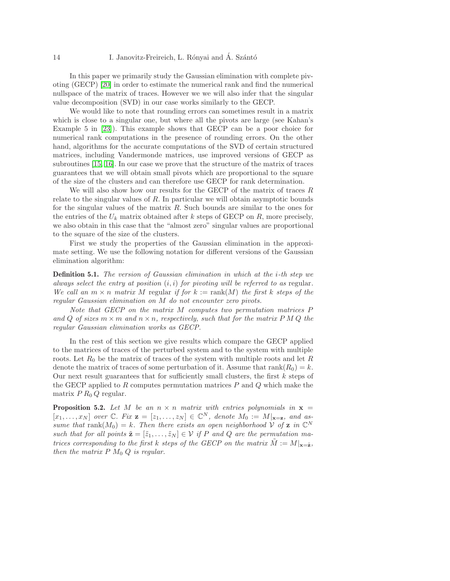In this paper we primarily study the Gaussian elimination with complete pivoting (GECP) [\[20\]](#page-29-15) in order to estimate the numerical rank and find the numerical nullspace of the matrix of traces. However we we will also infer that the singular value decomposition (SVD) in our case works similarly to the GECP.

We would like to note that rounding errors can sometimes result in a matrix which is close to a singular one, but where all the pivots are large (see Kahan's Example 5 in [\[23\]](#page-29-16)). This example shows that GECP can be a poor choice for numerical rank computations in the presence of rounding errors. On the other hand, algorithms for the accurate computations of the SVD of certain structured matrices, including Vandermonde matrices, use improved versions of GECP as subroutines [\[15,](#page-29-17) [16\]](#page-29-18). In our case we prove that the structure of the matrix of traces guarantees that we will obtain small pivots which are proportional to the square of the size of the clusters and can therefore use GECP for rank determination.

We will also show how our results for the GECP of the matrix of traces  $R$ relate to the singular values of R. In particular we will obtain asymptotic bounds for the singular values of the matrix  $R$ . Such bounds are similar to the ones for the entries of the  $U_k$  matrix obtained after k steps of GECP on R, more precisely, we also obtain in this case that the "almost zero" singular values are proportional to the square of the size of the clusters.

First we study the properties of the Gaussian elimination in the approximate setting. We use the following notation for different versions of the Gaussian elimination algorithm:

Definition 5.1. *The version of Gaussian elimination in which at the* i*-th step we always select the entry at position*  $(i, i)$  *for pivoting will be referred to as regular. We call an*  $m \times n$  *matrix* M regular *if for*  $k := \text{rank}(M)$  *the first* k *steps of the regular Gaussian elimination on* M *do not encounter zero pivots.*

*Note that GECP on the matrix* M *computes two permutation matrices* P and Q of sizes  $m \times m$  and  $n \times n$ , respectively, such that for the matrix P M Q the *regular Gaussian elimination works as GECP.*

In the rest of this section we give results which compare the GECP applied to the matrices of traces of the perturbed system and to the system with multiple roots. Let  $R_0$  be the matrix of traces of the system with multiple roots and let  $R$ denote the matrix of traces of some perturbation of it. Assume that  $rank(R_0) = k$ . Our next result guarantees that for sufficiently small clusters, the first  $k$  steps of the GECP applied to R computes permutation matrices  $P$  and  $Q$  which make the matrix  $P R_0 Q$  regular.

<span id="page-13-0"></span>**Proposition 5.2.** Let M be an  $n \times n$  matrix with entries polynomials in  $x =$  $[x_1, \ldots, x_N]$  *over*  $\mathbb{C}$ *. Fix*  $\mathbf{z} = [z_1, \ldots, z_N] \in \mathbb{C}^N$ *, denote*  $M_0 := M|_{\mathbf{x} = \mathbf{z}}$ *, and assume that*  $rank(M_0) = k$ . Then there exists an open neighborhood  $V$  of **z** in  $\mathbb{C}^N$ *such that for all points*  $\tilde{\mathbf{z}} = [\tilde{z}_1, \dots, \tilde{z}_N] \in \mathcal{V}$  *if* P and Q are the permutation ma*trices corresponding to the first* k *steps of the GECP on the matrix*  $M := M|_{\mathbf{x} = \tilde{\mathbf{z}}}$ *, then the matrix* P M<sup>0</sup> Q *is regular.*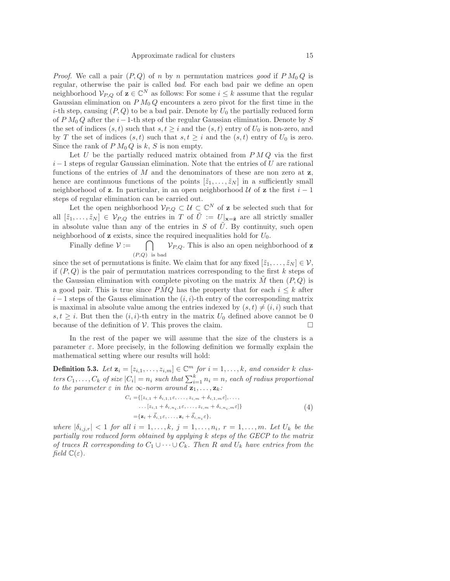*Proof.* We call a pair  $(P,Q)$  of n by n permutation matrices good if  $P M_0 Q$  is regular, otherwise the pair is called *bad*. For each bad pair we define an open neighborhood  $V_{P,Q}$  of  $\mathbf{z} \in \mathbb{C}^N$  as follows: For some  $i \leq k$  assume that the regular Gaussian elimination on  $P M_0 Q$  encounters a zero pivot for the first time in the *i*-th step, causing  $(P, Q)$  to be a bad pair. Denote by  $U_0$  the partially reduced form of  $P M_0 Q$  after the i -1-th step of the regular Gaussian elimination. Denote by S the set of indices  $(s, t)$  such that  $s, t \geq i$  and the  $(s, t)$  entry of  $U_0$  is non-zero, and by T the set of indices  $(s, t)$  such that  $s, t \geq i$  and the  $(s, t)$  entry of  $U_0$  is zero. Since the rank of  $P M_0 Q$  is k, S is non empty.

Let U be the partially reduced matrix obtained from  $P M Q$  via the first  $i-1$  steps of regular Gaussian elimination. Note that the entries of U are rational functions of the entries of  $M$  and the denominators of these are non zero at  $z$ , hence are continuous functions of the points  $[\tilde{z}_1, \ldots, \tilde{z}_N]$  in a sufficiently small neighborhood of **z**. In particular, in an open neighborhood  $U$  of **z** the first  $i - 1$ steps of regular elimination can be carried out.

Let the open neighborhood  $\mathcal{V}_{P,Q} \subset \mathcal{U} \subsetneq \mathbb{C}^N$  of **z** be selected such that for all  $[\tilde{z}_1, \ldots, \tilde{z}_N] \in \mathcal{V}_{P,Q}$  the entries in T of  $\tilde{U} := U|_{\mathbf{x} = \tilde{\mathbf{z}}}$  are all strictly smaller in absolute value than any of the entries in  $S$  of  $\tilde{U}$ . By continuity, such open neighborhood of **z** exists, since the required inequalities hold for  $U_0$ .

Finally define  $\mathcal{V} :=$ (P,Q) is bad  $\Box$   $V_{P,Q}$ . This is also an open neighborhood of **z** 

since the set of permutations is finite. We claim that for any fixed  $[\tilde{z}_1, \ldots, \tilde{z}_N] \in \mathcal{V}$ , if  $(P,Q)$  is the pair of permutation matrices corresponding to the first k steps of the Gaussian elimination with complete pivoting on the matrix  $M$  then  $(P, Q)$  is a good pair. This is true since  $\widehat{PMQ}$  has the property that for each  $i \leq k$  after  $i-1$  steps of the Gauss elimination the  $(i, i)$ -th entry of the corresponding matrix is maximal in absolute value among the entries indexed by  $(s, t) \neq (i, i)$  such that  $s, t \geq i$ . But then the  $(i, i)$ -th entry in the matrix  $U_0$  defined above cannot be 0 because of the definition of  $\mathcal V$ . This proves the claim. because of the definition of  $V$ . This proves the claim.

In the rest of the paper we will assume that the size of the clusters is a parameter  $\varepsilon$ . More precisely, in the following definition we formally explain the mathematical setting where our results will hold:

<span id="page-14-0"></span>**Definition 5.3.** Let  $\mathbf{z}_i = [z_{i,1}, \ldots, z_{i,m}] \in \mathbb{C}^m$  for  $i = 1, \ldots, k$ , and consider k clus $ters C_1, \ldots, C_k$  of size  $|C_i| = n_i$  such that  $\sum_{i=1}^k n_i = n$ , each of radius proportional *to the parameter*  $\varepsilon$  *in the*  $\infty$ *-norm around*  $\mathbf{z}_1, \ldots, \mathbf{z}_k$ *:* 

<span id="page-14-1"></span>
$$
C_i = \{ [z_{i,1} + \delta_{i,1,1}\varepsilon, \dots, z_{i,m} + \delta_{i,1,m}\varepsilon], \dots, \n\dots [z_{i,1} + \delta_{i,n_i,1}\varepsilon, \dots, z_{i,m} + \delta_{i,n_i,m}\varepsilon] \}
$$
\n
$$
= \{ \mathbf{z}_i + \vec{\delta}_{i,1}\varepsilon, \dots, \mathbf{z}_i + \vec{\delta}_{i,n_i}\varepsilon \},
$$
\n
$$
(4)
$$

*where*  $|\delta_{i,j,r}| < 1$  *for all*  $i = 1, \ldots, k$ ,  $j = 1, \ldots, n_i$ ,  $r = 1, \ldots, m$ . Let  $U_k$  be the *partially row reduced form obtained by applying* k *steps of the GECP to the matrix of traces* R *corresponding to*  $C_1 \cup \cdots \cup C_k$ *. Then* R *and*  $U_k$  *have entries from the field*  $\mathbb{C}(\varepsilon)$ *.*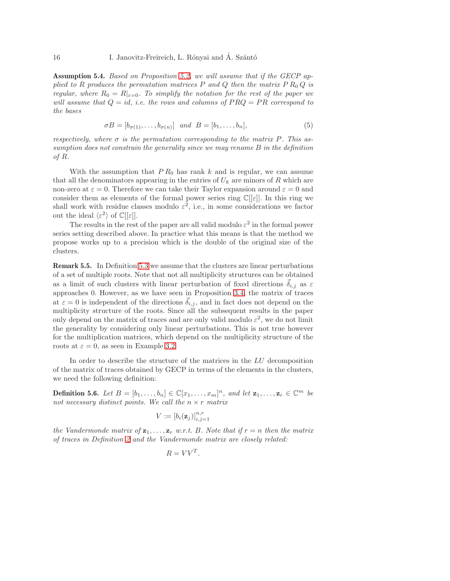<span id="page-15-0"></span>Assumption 5.4. *Based on Proposition [5.2,](#page-13-0) we will assume that if the GECP applied to* R *produces the permutation matrices* P and Q then the matrix  $PR_0Q$  is *regular, where*  $R_0 = R|_{\varepsilon=0}$ . To simplify the notation for the rest of the paper we *will assume that*  $Q = id$ , *i.e. the rows and columns of*  $PRQ = PR$  *correspond to the bases*

<span id="page-15-1"></span>
$$
\sigma B = [b_{\sigma(1)}, \dots, b_{\sigma(n)}] \quad and \quad B = [b_1, \dots, b_n], \tag{5}
$$

*respectively, where* σ *is the permutation corresponding to the matrix* P*. This assumption does not constrain the generality since we may rename* B *in the definition of* R*.*

With the assumption that  $PR_0$  has rank k and is regular, we can assume that all the denominators appearing in the entries of  $U_k$  are minors of R which are non-zero at  $\varepsilon = 0$ . Therefore we can take their Taylor expansion around  $\varepsilon = 0$  and consider them as elements of the formal power series ring  $\mathbb{C}[[\varepsilon]]$ . In this ring we shall work with residue classes modulo  $\varepsilon^2$ , i.e., in some considerations we factor out the ideal  $\langle \varepsilon^2 \rangle$  of  $\mathbb{C}[[\varepsilon]].$ 

The results in the rest of the paper are all valid modulo  $\varepsilon^2$  in the formal power series setting described above. In practice what this means is that the method we propose works up to a precision which is the double of the original size of the clusters.

<span id="page-15-2"></span>Remark 5.5. In Definition [5.3](#page-14-0) we assume that the clusters are linear perturbations of a set of multiple roots. Note that not all multiplicity structures can be obtained as a limit of such clusters with linear perturbation of fixed directions  $\vec{\delta}_{i,j}$  as  $\varepsilon$ approaches 0. However, as we have seen in Proposition [3.4,](#page-9-0) the matrix of traces at  $\varepsilon = 0$  is independent of the directions  $\vec{\delta}_{i,j}$ , and in fact does not depend on the multiplicity structure of the roots. Since all the subsequent results in the paper only depend on the matrix of traces and are only valid modulo  $\varepsilon^2$ , we do not limit the generality by considering only linear perturbations. This is not true however for the multiplication matrices, which depend on the multiplicity structure of the roots at  $\varepsilon = 0$ , as seen in Example [3.2.](#page-8-0)

In order to describe the structure of the matrices in the LU decomposition of the matrix of traces obtained by GECP in terms of the elements in the clusters, we need the following definition:

**Definition 5.6.** Let  $B = [b_1, \ldots, b_n] \in \mathbb{C}[x_1, \ldots, x_m]^n$ , and let  $\mathbf{z}_1, \ldots, \mathbf{z}_r \in \mathbb{C}^m$  be not necessary distinct points. We call the  $n \times r$  matrix

$$
V := [b_i(\mathbf{z}_j)]_{i,j=1}^{n,r}
$$

*the Vandermonde matrix of*  $z_1, \ldots, z_r$  *w.r.t.* B. Note that if  $r = n$  then the matrix *of traces in Definition [2](#page-6-2) and the Vandermonde matrix are closely related:*

$$
R = VV^T.
$$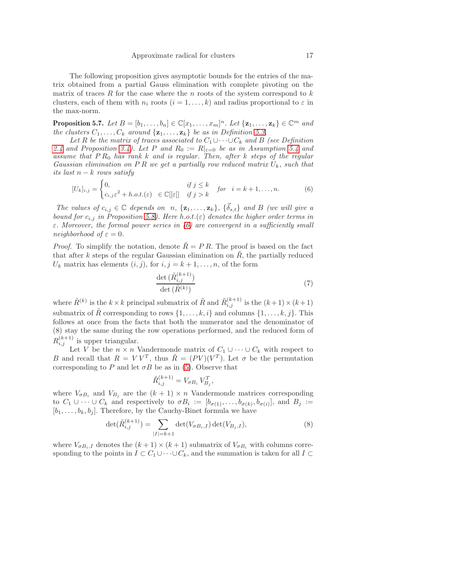The following proposition gives asymptotic bounds for the entries of the matrix obtained from a partial Gauss elimination with complete pivoting on the matrix of traces  $R$  for the case where the  $n$  roots of the system correspond to  $k$ clusters, each of them with  $n_i$  roots  $(i = 1, \ldots, k)$  and radius proportional to  $\varepsilon$  in the max-norm.

<span id="page-16-0"></span>**Proposition 5.7.** Let  $B = [b_1, \ldots, b_n] \in \mathbb{C}[x_1, \ldots, x_m]^n$ . Let  $\{z_1, \ldots, z_k\} \in \mathbb{C}^m$  and *the clusters*  $C_1, \ldots, C_k$  *around*  $\{z_1, \ldots, z_k\}$  *be as in Definition [5.3.](#page-14-0)* 

Let R be the matrix of traces associated to  $C_1 \cup \cdots \cup C_k$  and B *(see Definition*) [2.4](#page-5-0) *and Proposition* [3.4\)](#page-9-0)*.* Let P *and*  $R_0 := R|_{\epsilon=0}$  *be as in Assumption* [5.4](#page-15-0) *and assume that*  $PR_0$  *has rank* k and *is regular. Then, after* k *steps of the regular Gaussian elimination on* P R *we get a partially row reduced matrix* Uk*, such that its last* n − k *rows satisfy*

<span id="page-16-1"></span>
$$
[U_k]_{i,j} = \begin{cases} 0, & if j \le k \\ c_{i,j}\varepsilon^2 + h.o.t.(\varepsilon) \in \mathbb{C}[[\varepsilon]] & if j > k \end{cases} \quad for \quad i = k+1,\ldots,n. \tag{6}
$$

*The values of*  $c_{i,j} \in \mathbb{C}$  *depends on* n,  $\{z_1, \ldots, z_k\}$ ,  $\{\vec{\delta}_{s,t}\}\$  *and* B *(we will give a bound for*  $c_{i,j}$  *in Proposition [5.8\)](#page-17-0). Here h.o.t.*( $\varepsilon$ ) *denotes the higher order terms in* ε*. Moreover, the formal power series in [\(6\)](#page-16-1) are convergent in a sufficiently small neighborhood* of  $\varepsilon = 0$ .

*Proof.* To simplify the notation, denote  $\tilde{R} = PR$ . The proof is based on the fact that after  $k$  steps of the regular Gaussian elimination on  $R$ , the partially reduced  $U_k$  matrix has elements  $(i, j)$ , for  $i, j = k+1, \ldots, n$ , of the form

$$
\frac{\det\left(\tilde{R}_{i,j}^{(k+1)}\right)}{\det\left(\tilde{R}^{(k)}\right)}\tag{7}
$$

where  $\tilde{R}^{(k)}$  is the  $k \times k$  principal submatrix of  $\tilde{R}$  and  $\tilde{R}^{(k+1)}_{i,j}$  is the  $(k+1) \times (k+1)$ submatrix of  $\tilde{R}$  corresponding to rows  $\{1, \ldots, k, i\}$  and columns  $\{1, \ldots, k, j\}$ . This follows at once from the facts that both the numerator and the denominator of (8) stay the same during the row operations performed, and the reduced form of  $R_{i,j}^{(k+1)}$  is upper triangular.

Let V be the  $n \times n$  Vandermonde matrix of  $C_1 \cup \cdots \cup C_k$  with respect to B and recall that  $R = V V^T$ , thus  $\tilde{R} = (PV)(V^T)$ . Let  $\sigma$  be the permutation corresponding to P and let  $\sigma B$  be as in [\(5\)](#page-15-1). Observe that

$$
\tilde{R}_{i,j}^{(k+1)} = V_{\sigma B_i} V_{B_j}^T,
$$

where  $V_{\sigma B_i}$  and  $V_{B_j}$  are the  $(k + 1) \times n$  Vandermonde matrices corresponding to  $C_1 \cup \cdots \cup C_k$  and respectively to  $\sigma B_i := [b_{\sigma(1)}, \ldots, b_{\sigma(k)}, b_{\sigma(i)}]$ , and  $B_j :=$  $[b_1, \ldots, b_k, b_j]$ . Therefore, by the Cauchy-Binet formula we have

<span id="page-16-2"></span>
$$
\det(\tilde{R}_{i,j}^{(k+1)}) = \sum_{|I|=k+1} \det(V_{\sigma B_i,I}) \det(V_{B_j,I}),\tag{8}
$$

where  $V_{\sigma B_i,I}$  denotes the  $(k+1) \times (k+1)$  submatrix of  $V_{\sigma B_i}$  with columns corresponding to the points in  $I \subset C_1 \cup \cdots \cup C_k$ , and the summation is taken for all  $I \subset$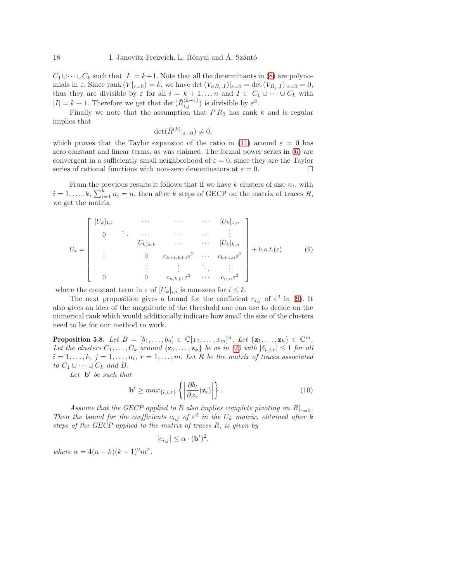$C_1 \cup \cdots \cup C_k$  such that  $|I| = k+1$ . Note that all the determinants in [\(8\)](#page-16-2) are polynomials in  $\varepsilon$ . Since rank  $(V|_{\varepsilon=0}) = k$ , we have det  $(V_{\sigma B_i,I})|_{\varepsilon=0} = \det(V_{B_j,I})|_{\varepsilon=0} = 0$ , thus they are divisible by  $\varepsilon$  for all  $i = k+1, \ldots n$  and  $I \subset C_1 \cup \cdots \cup C_k$  with  $|I| = k + 1$ . Therefore we get that  $\det(\tilde{R}_{i,j}^{(k+1)})$  is divisible by  $\varepsilon^2$ .

Finally we note that the assumption that  $PR_0$  has rank k and is regular implies that

$$
\det(\tilde{R}^{(k)}|_{\varepsilon=0})\neq 0,
$$

which proves that the Taylor expansion of the ratio in [\(11\)](#page-18-0) around  $\varepsilon = 0$  has zero constant and linear terms, as was claimed. The formal power series in [\(6\)](#page-16-1) are convergent in a sufficiently small neighborhood of  $\varepsilon = 0$ , since they are the Taylor series of rational functions with non-zero denominators at  $\varepsilon = 0$ .

From the previous results it follows that if we have  $k$  clusters of size  $n_i$ , with  $i = 1, \ldots, k, \sum_{i=1}^{k} n_i = n$ , then after k steps of GECP on the matrix of traces R, we get the matrix

<span id="page-17-1"></span>
$$
U_k = \begin{bmatrix} [U_k]_{1,1} & \cdots & \cdots & \cdots & [U_k]_{1,n} \\ 0 & \ddots & \cdots & \cdots & \cdots & \vdots \\ 0 & \ddots & \cdots & \cdots & [U_k]_{k,n} \\ \vdots & & 0 & c_{k+1,k+1}\varepsilon^2 & \cdots & c_{k+1,n}\varepsilon^2 \\ \vdots & & \vdots & \ddots & \vdots \\ 0 & 0 & c_{n,k+1}\varepsilon^2 & \cdots & c_{n,n}\varepsilon^2 \end{bmatrix} + h.o.t. (\varepsilon) \tag{9}
$$

where the constant term in  $\varepsilon$  of  $[U_k]_{i,i}$  is non-zero for  $i \leq k$ .

The next proposition gives a bound for the coefficient  $c_{i,j}$  of  $\varepsilon^2$  in [\(9\)](#page-17-1). It also gives an idea of the magnitude of the threshold one can use to decide on the numerical rank which would additionally indicate how small the size of the clusters need to be for our method to work.

<span id="page-17-0"></span>**Proposition 5.8.** *Let*  $B = [b_1, ..., b_n] \in \mathbb{C}[x_1, ..., x_m]^n$ . *Let*  $\{z_1, ..., z_k\} \in \mathbb{C}^m$ . *Let the clusters*  $C_1, \ldots, C_k$  *around*  $\{z_1, \ldots, z_k\}$  *be as in*  $(4)$  *with*  $|\delta_{i,j,r}| \leq 1$  *for all*  $i = 1, \ldots, k, j = 1, \ldots, n_i, r = 1, \ldots, m$ . Let R be the matrix of traces associated *to*  $C_1 \cup \cdots \cup C_k$  *and B*.

*Let* b ′ *be such that*

<span id="page-17-2"></span>
$$
\mathbf{b}' \ge \max_{\{l,i,r\}} \left\{ \left| \frac{\partial b_l}{\partial x_r}(\mathbf{z}_i) \right| \right\}.
$$
 (10)

*Assume that the GECP applied to* R *also implies complete pivoting on*  $R|_{\varepsilon=0}$ . *Then the bound for the coefficients*  $c_{i,j}$  *of*  $\varepsilon^2$  *in the*  $U_k$  *matrix, obtained after* k *steps of the GECP applied to the matrix of traces* R*, is given by*

$$
|c_{i,j}| \leq \alpha \cdot (\mathbf{b}')^2,
$$

*where*  $\alpha = 4(n-k)(k+1)^2m^2$ .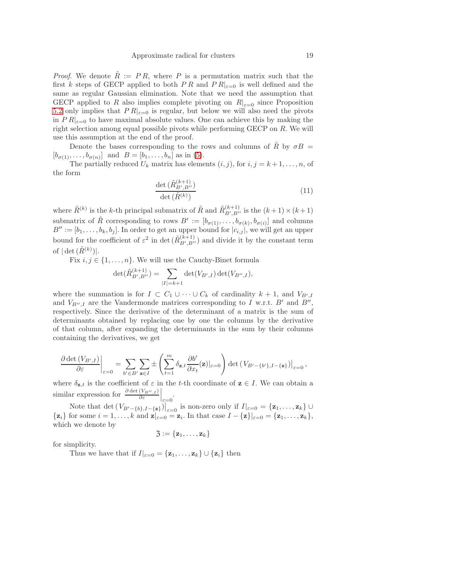*Proof.* We denote  $\tilde{R} := PR$ , where P is a permutation matrix such that the first k steps of GECP applied to both P R and  $PR|_{\varepsilon=0}$  is well defined and the same as regular Gaussian elimination. Note that we need the assumption that GECP applied to R also implies complete pivoting on  $R|_{\varepsilon=0}$  since Proposition [5.2](#page-13-0) only implies that  $PR|_{\varepsilon=0}$  is regular, but below we will also need the pivots in  $PR|_{\epsilon=0}$  to have maximal absolute values. One can achieve this by making the right selection among equal possible pivots while performing GECP on R. We will use this assumption at the end of the proof.

Denote the bases corresponding to the rows and columns of  $\tilde{R}$  by  $\sigma B =$  $[b_{\sigma(1)}, \ldots, b_{\sigma(n)}]$  and  $B = [b_1, \ldots, b_n]$  as in [\(5\)](#page-15-1).

The partially reduced  $U_k$  matrix has elements  $(i, j)$ , for  $i, j = k+1, \ldots, n$ , of the form

<span id="page-18-0"></span>
$$
\frac{\det\left(\tilde{R}_{B',B''}^{(k+1)}\right)}{\det\left(\tilde{R}^{(k)}\right)}\tag{11}
$$

where  $\tilde{R}^{(k)}$  is the k-th principal submatrix of  $\tilde{R}$  and  $\tilde{R}_{B',B''}^{(k+1)}$  is the  $(k+1)\times(k+1)$ submatrix of  $\tilde{R}$  corresponding to rows  $B' := [b_{\sigma(1)}, \ldots, b_{\sigma(k)}, b_{\sigma(i)}]$  and columns  $B'' := [b_1, \ldots, b_k, b_j]$ . In order to get an upper bound for  $|c_{i,j}|$ , we will get an upper bound for the coefficient of  $\varepsilon^2$  in det  $(\tilde{R}_{B',B''}^{(k+1)})$  and divide it by the constant term of  $|\det(\tilde{R}^{(k)})|$ .

Fix  $i, j \in \{1, \ldots, n\}$ . We will use the Cauchy-Binet formula

$$
\det(\tilde{R}_{B',B''}^{(k+1)}) = \sum_{|I|=k+1} \det(V_{B',I}) \det(V_{B'',I}),
$$

where the summation is for  $I \subset C_1 \cup \cdots \cup C_k$  of cardinality  $k + 1$ , and  $V_{B', I}$ and  $V_{B'',I}$  are the Vandermonde matrices corresponding to I w.r.t. B' and B'', respectively. Since the derivative of the determinant of a matrix is the sum of determinants obtained by replacing one by one the columns by the derivative of that column, after expanding the determinants in the sum by their columns containing the derivatives, we get

$$
\left.\frac{\partial \det\left(V_{B',I}\right)}{\partial \varepsilon}\right|_{\varepsilon=0} = \sum_{b'\in B'} \sum_{\mathbf{z}\in I} \pm \left(\sum_{t=1}^m \delta_{\mathbf{z},t} \frac{\partial b'}{\partial x_t}(\mathbf{z})|_{\varepsilon=0}\right) \det\left(V_{B'-\{b'\},I-\{\mathbf{z}\}}\right)\Big|_{\varepsilon=0},
$$

where  $\delta_{\mathbf{z},t}$  is the coefficient of  $\varepsilon$  in the t-th coordinate of  $\mathbf{z} \in I$ . We can obtain a similar expression for  $\frac{\partial \det(V_{B'',I})}{\partial \varepsilon}$  $\Big|_{\varepsilon=0}$ .

Note that det  $(V_{B'-\{b\},I-\{\mathbf{z}\})}\Big|_{\varepsilon=0}^{\infty}$  is non-zero only if  $I|_{\varepsilon=0} = {\mathbf{z}_1,\ldots,\mathbf{z}_k}$  ∪  $\{\mathbf z_i\}$  for some  $i = 1, \ldots, k$  and  $\mathbf z|_{\varepsilon=0} = \mathbf z_i$ . In that case  $I - \{\mathbf z\}|_{\varepsilon=0} = \{\mathbf z_1, \ldots, \mathbf z_k\},\$ which we denote by

$$
\mathfrak{Z}:=\{\mathbf{z}_1,\ldots,\mathbf{z}_k\}
$$

for simplicity.

Thus we have that if  $I|_{\varepsilon=0} = {\mathbf{z}_1, \ldots, \mathbf{z}_k} \cup {\mathbf{z}_i}$  then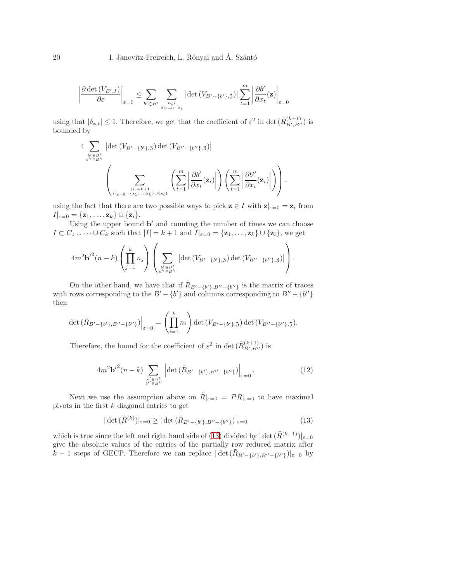$$
\left|\frac{\partial\det\left(V_{B',I}\right)}{\partial\varepsilon}\right|_{\varepsilon=0}\leq\sum_{b'\in B'}\sum_{\mathbf{z}\in I\atop\mathbf{z}|_{\varepsilon=0}=\mathbf{z}_i}\left|\det\left(V_{B'-\{b'\},\mathfrak{Z}}\right)\right|\sum_{t=1}^m\left|\frac{\partial b'}{\partial x_t}(\mathbf{z})\right|_{\varepsilon=0}
$$

using that  $|\delta_{\mathbf{z},t}| \leq 1$ . Therefore, we get that the coefficient of  $\varepsilon^2$  in det  $(\tilde{R}_{B',B''}^{(k+1)})$  is bounded by

4 
$$
\sum_{\substack{b' \in B' \\ b'' \in B''}} \left| \det (V_{B'-\{b'\}, \mathfrak{Z}}) \det (V_{B''-\{b''\}, \mathfrak{Z}}) \right|
$$
  

$$
\left( \sum_{\substack{I|_{\varepsilon=0}=\{\mathbf{z}_1,\ldots,\mathbf{z}_k\} \cup \{\mathbf{z}_i\}}} \left( \sum_{t=1}^m \left| \frac{\partial b'}{\partial x_t}(\mathbf{z}_i) \right| \right) \left( \sum_{t=1}^m \left| \frac{\partial b''}{\partial x_t}(\mathbf{z}_i) \right| \right) \right).
$$

using the fact that there are two possible ways to pick  $z \in I$  with  $z|_{\varepsilon=0} = z_i$  from  $I|_{\varepsilon=0} = {\mathbf{z}_1,\ldots,\mathbf{z}_k} \cup {\mathbf{z}_i}.$ 

Using the upper bound  $\mathbf{b}'$  and counting the number of times we can choose  $I \subset C_1 \cup \cdots \cup C_k$  such that  $|I| = k + 1$  and  $I|_{\varepsilon=0} = {\mathbf{z}_1, \ldots, \mathbf{z}_k} \cup {\mathbf{z}_i}$ , we get

$$
4m^2{\bf b'}^2(n-k)\left(\prod_{j=1}^k n_j\right)\left(\sum_{\substack{b' \in B' \\ b'' \in B''}} \left|\det\left(V_{B'-\{b'\},3}\right) \det\left(V_{B''-\{b''\},3}\right)\right|\right).
$$

On the other hand, we have that if  $\tilde{R}_{B'-\{b'\},B''-\{b''\}}$  is the matrix of traces with rows corresponding to the  $B' - \{b'\}$  and columns corresponding to  $B'' - \{b''\}$ then

$$
\det\left(\tilde{R}_{B'-\{b'\},B''-\{b''\}}\right)\Big|_{\varepsilon=0} = \left(\prod_{i=1}^k n_i\right) \det\left(V_{B'-\{b'\},\mathfrak{Z}}\right) \det\left(V_{B''-\{b''\},\mathfrak{Z}}\right).
$$

Therefore, the bound for the coefficient of  $\varepsilon^2$  in det  $(\tilde{R}_{B',B''}^{(k+1)})$  is

<span id="page-19-1"></span>
$$
4m^{2}b'^{2}(n-k)\sum_{\substack{b' \in B' \\ b'' \in B''}} \left| \det\left(\tilde{R}_{B'-\{b'\},B''-\{b''\}}\right)\right|_{\varepsilon=0}.\tag{12}
$$

Next we use the assumption above on  $\tilde{R}|_{\varepsilon=0} = PR|_{\varepsilon=0}$  to have maximal pivots in the first  $k$  diagonal entries to get

<span id="page-19-0"></span>
$$
|\det(\tilde{R}^{(k)})|_{\varepsilon=0} \ge |\det(\tilde{R}_{B'-\{b'\},B''-\{b''\}}|_{\varepsilon=0})
$$
\n(13)

which is true since the left and right hand side of [\(13\)](#page-19-0) divided by  $|\det(\tilde{R}^{(k-1)})|_{\varepsilon=0}$ give the absolute values of the entries of the partially row reduced matrix after  $k-1$  steps of GECP. Therefore we can replace  $|\det(\tilde{R}_{B'-\{b'\},B''-\{b''\}})|_{\varepsilon=0}$  by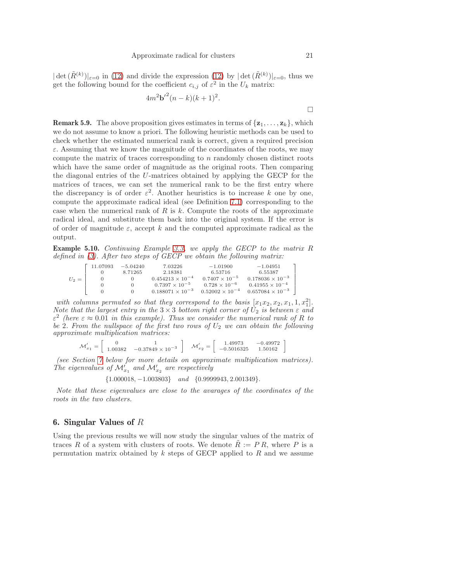$|\det(\tilde{R}^{(k)})|_{\varepsilon=0}$  in [\(12\)](#page-19-1) and divide the expression (12) by  $|\det(\tilde{R}^{(k)})|_{\varepsilon=0}$ , thus we get the following bound for the coefficient  $c_{i,j}$  of  $\varepsilon^2$  in the  $U_k$  matrix:

$$
4m^2b'^2(n-k)(k+1)^2.
$$

**Remark 5.9.** The above proposition gives estimates in terms of  $\{z_1, \ldots, z_k\}$ , which we do not assume to know a priori. The following heuristic methods can be used to check whether the estimated numerical rank is correct, given a required precision  $\varepsilon$ . Assuming that we know the magnitude of the coordinates of the roots, we may compute the matrix of traces corresponding to n randomly chosen distinct roots which have the same order of magnitude as the original roots. Then comparing the diagonal entries of the U-matrices obtained by applying the GECP for the matrices of traces, we can set the numerical rank to be the first entry where the discrepancy is of order  $\varepsilon^2$ . Another heuristics is to increase k one by one, compute the approximate radical ideal (see Definition [7.1\)](#page-22-0) corresponding to the case when the numerical rank of R is k. Compute the roots of the approximate radical ideal, and substitute them back into the original system. If the error is of order of magnitude  $\varepsilon$ , accept k and the computed approximate radical as the output.

Example 5.10. *Continuing Example [3.3,](#page-8-1) we apply the GECP to the matrix* R *defined in [\(3\)](#page-9-1). After two steps of GECP we obtain the following matrix:*

|         | $-11.07093$ | $-5.04240$<br>8.71265 | 7.03226<br>2.18381        | $-1.01900$<br>6.53716    | $-1.04951$<br>6.55387     |  |
|---------|-------------|-----------------------|---------------------------|--------------------------|---------------------------|--|
| $U_2 =$ |             |                       | $0.454213 \times 10^{-4}$ | $0.7407 \times 10^{-5}$  | $0.178036 \times 10^{-3}$ |  |
|         |             |                       | $0.7397 \times 10^{-5}$   | $0.728 \times 10^{-6}$   | $0.41955 \times 10^{-4}$  |  |
|         |             |                       | $0.188071 \times 10^{-3}$ | $0.52002 \times 10^{-4}$ | $0.657084 \times 10^{-3}$ |  |

with columns permuted so that they correspond to the basis  $[x_1x_2, x_2, x_1, 1, x_1^2]$ . *Note that the largest entry in the*  $3 \times 3$  *bottom right corner of*  $U_2$  *is between*  $\varepsilon$  *and*  $\varepsilon^2$  (here  $\varepsilon \approx 0.01$  in this example). Thus we consider the numerical rank of R to *be* 2. From the nullspace of the first two rows of  $U_2$  we can obtain the following *approximate multiplication matrices:*

$$
\mathcal{M}'_{x_1} = \left[ \begin{array}{cc} 0 & 1 \\ 1.00382 & -0.37849 \times 10^{-3} \end{array} \right] \quad \mathcal{M}'_{x_2} = \left[ \begin{array}{cc} 1.49973 & -0.49972 \\ -0.5016325 & 1.50162 \end{array} \right]
$$

*(see Section [7](#page-22-1) below for more details on approximate multiplication matrices).* The eigenvalues of  $\mathcal{M}'_{x_1}$  and  $\mathcal{M}'_{x_2}$  are respectively

$$
\{1.000018, -1.003803\} \quad and \quad \{0.9999943, 2.001349\}.
$$

*Note that these eigenvalues are close to the avarages of the coordinates of the roots in the two clusters.*

#### 6. Singular Values of R

Using the previous results we will now study the singular values of the matrix of traces R of a system with clusters of roots. We denote  $\tilde{R} := P R$ , where P is a permutation matrix obtained by k steps of GECP applied to  $R$  and we assume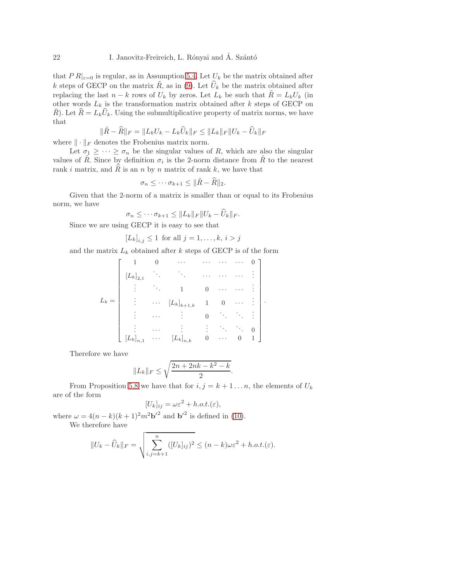that  $PR|_{\varepsilon=0}$  is regular, as in Assumption [5.4.](#page-15-0) Let  $U_k$  be the matrix obtained after k steps of GECP on the matrix  $\tilde{R}$ , as in [\(9\)](#page-17-1). Let  $\hat{U}_k$  be the matrix obtained after replacing the last  $n - k$  rows of  $U_k$  by zeros. Let  $L_k$  be such that  $\tilde{R} = L_k U_k$  (in other words  $L_k$  is the transformation matrix obtained after k steps of GECP on  $\tilde{R}$ ). Let  $\hat{R} = L_k\hat{U}_k$ . Using the submultiplicative property of matrix norms, we have that

$$
\|\tilde{R} - \hat{R}\|_{F} = \|L_{k}U_{k} - L_{k}\hat{U}_{k}\|_{F} \le \|L_{k}\|_{F}\|U_{k} - \hat{U}_{k}\|_{F}
$$

where  $\|\cdot\|_F$  denotes the Frobenius matrix norm.

Let  $\sigma_1 \geq \cdots \geq \sigma_n$  be the singular values of R, which are also the singular values of  $\tilde{R}$ . Since by definition  $\sigma_i$  is the 2-norm distance from  $\tilde{R}$  to the nearest rank i matrix, and  $\widehat{R}$  is an n by n matrix of rank k, we have that

$$
\sigma_n \leq \cdots \sigma_{k+1} \leq \|\tilde{R} - \hat{R}\|_2.
$$

Given that the 2-norm of a matrix is smaller than or equal to its Frobenius norm, we have

$$
\sigma_n \leq \cdots \sigma_{k+1} \leq ||L_k||_F ||U_k - \widehat{U}_k||_F.
$$

Since we are using GECP it is easy to see that

$$
[L_k]_{i,j} \le 1 \text{ for all } j = 1, \dots, k, i > j
$$

and the matrix  $L_k$  obtained after k steps of GECP is of the form

$$
L_{k} = \left[\begin{array}{ccccccccc} 1 & 0 & \cdots & \cdots & \cdots & \cdots & 0 \\ [L_{k}]_{2,1} & \ddots & \ddots & \cdots & \cdots & \cdots & \vdots \\ \vdots & \ddots & 1 & 0 & \cdots & \cdots & \vdots \\ \vdots & \cdots & [L_{k}]_{k+1,k} & 1 & 0 & \cdots & \vdots \\ \vdots & \cdots & \vdots & 0 & \ddots & \ddots & \vdots \\ \vdots & \cdots & \vdots & \vdots & \ddots & \ddots & 0 \\ [L_{k}]_{n,1} & \cdots & [L_{k}]_{n,k} & 0 & \cdots & 0 & 1 \end{array}\right]
$$

.

Therefore we have

$$
||L_k||_F \le \sqrt{\frac{2n + 2nk - k^2 - k}{2}}.
$$

From Proposition [5.8](#page-17-0) we have that for  $i, j = k + 1 ... n$ , the elements of  $U_k$ are of the form

$$
[U_k]_{ij} = \omega \varepsilon^2 + h.o.t.(\varepsilon),
$$

where  $\omega = 4(n-k)(k+1)^2m^2b'^2$  and  $b'^2$  is defined in [\(10\)](#page-17-2).

We therefore have

$$
||U_k - \widehat{U}_k||_F = \sqrt{\sum_{i,j=k+1}^n ([U_k]_{ij})^2} \le (n-k)\omega \varepsilon^2 + h.o.t.(\varepsilon).
$$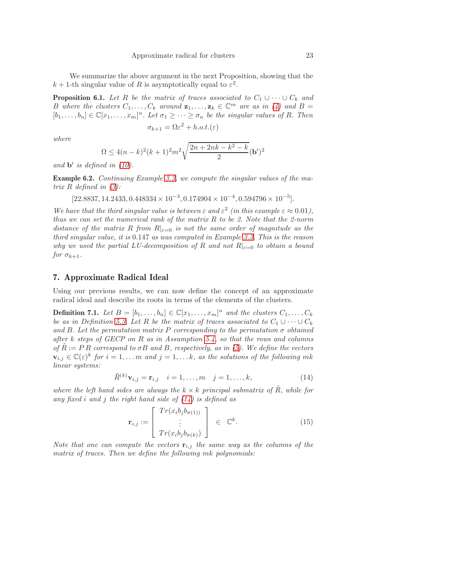We summarize the above argument in the next Proposition, showing that the  $k+1$ -th singular value of R is asymptotically equal to  $\varepsilon^2$ .

**Proposition 6.1.** *Let* R *be the matrix of traces associated to*  $C_1 \cup \cdots \cup C_k$  *and* B where the clusters  $C_1, \ldots, C_k$  around  $\mathbf{z}_1, \ldots, \mathbf{z}_k \in \mathbb{C}^m$  are as in [\(4\)](#page-14-1) and  $B =$  $[b_1, \ldots, b_n] \in \mathbb{C}[x_1, \ldots, x_m]^n$ . Let  $\sigma_1 \geq \cdots \geq \sigma_n$  be the singular values of R. Then

$$
\sigma_{k+1} = \Omega \varepsilon^2 + h.o.t. (\varepsilon)
$$

*where*

$$
\Omega \le 4(n-k)^2(k+1)^2 m^2 \sqrt{\frac{2n+2nk-k^2-k}{2}} (\mathbf{b}')^2
$$

*and* b ′ *is defined in [\(10\)](#page-17-2).*

Example 6.2. *Continuing Example [3.3,](#page-8-1) we compute the singular values of the matrix* R *defined in [\(3\)](#page-9-1):*

 $[22.8837, 14.2433, 0.448334 \times 10^{-3}, 0.174904 \times 10^{-4}, 0.594796 \times 10^{-5}]$ .

*We have that the third singular value is between*  $\varepsilon$  and  $\varepsilon^2$  (*in this example*  $\varepsilon \approx 0.01$ *), thus we can set the numerical rank of the matrix* R *to be 2. Note that the 2-norm distance of the matrix* R *from*  $R|_{\epsilon=0}$  *is not the same order of magnitude as the third singular value, it is* 0.147 *as was computed in Example [3.3.](#page-8-1) This is the reason why we used the partial LU-decomposition of* R *and not*  $R|_{\varepsilon=0}$  *to obtain a bound for*  $\sigma_{k+1}$ *.* 

## <span id="page-22-1"></span>7. Approximate Radical Ideal

<span id="page-22-0"></span>Using our previous results, we can now define the concept of an approximate radical ideal and describe its roots in terms of the elements of the clusters.

**Definition 7.1.** Let  $B = [b_1, \ldots, b_n] \in \mathbb{C}[x_1, \ldots, x_m]^n$  and the clusters  $C_1, \ldots, C_k$ *be as in Definition* [5.3.](#page-14-0) Let R *be the matrix of traces associated to*  $C_1 \cup \cdots \cup C_k$ *and* B. Let the permutation matrix P corresponding to the permutation  $\sigma$  obtained *after* k *steps of GECP on* R *as in Assumption [5.4,](#page-15-0) so that the rows and columns*  $of R := PR$  *correspond to*  $\sigma B$  *and*  $B$ *, respectively, as in* [\(5\)](#page-15-1)*. We define the vectors*  $\mathbf{v}_{i,j} \in \mathbb{C}(\varepsilon)^k$  for  $i = 1, \ldots m$  and  $j = 1, \ldots k$ , as the solutions of the following mk *linear systems:*

<span id="page-22-2"></span>
$$
\tilde{R}^{(k)}\mathbf{v}_{i,j} = \mathbf{r}_{i,j} \quad i = 1,\dots,m \quad j = 1,\dots,k,
$$
\n(14)

*where the left hand sides are always the*  $k \times k$  *principal submatrix of*  $\hat{R}$ *, while for any fixed* i *and* j *the right hand side of [\(14\)](#page-22-2) is defined as*

$$
\mathbf{r}_{i,j} := \begin{bmatrix} Tr(x_i b_j b_{\sigma(1)}) \\ \vdots \\ Tr(x_i b_j b_{\sigma(k)}) \end{bmatrix} \in \mathbb{C}^k.
$$
 (15)

*Note that one can compute the vectors*  $\mathbf{r}_{i,j}$  *the same way as the columns of the matrix of traces. Then we define the following* mk *polynomials:*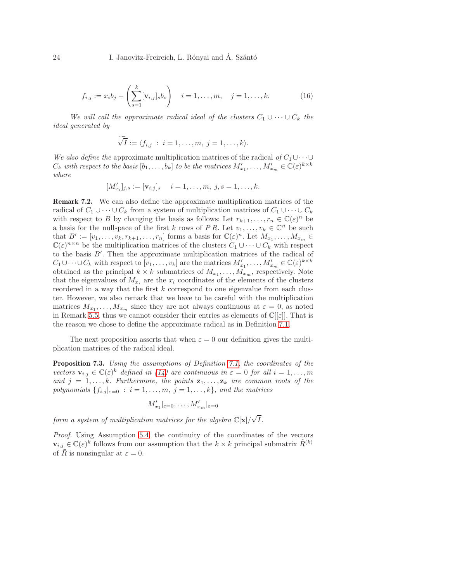$$
f_{i,j} := x_i b_j - \left(\sum_{s=1}^k [\mathbf{v}_{i,j}]_s b_s\right) \quad i = 1, \dots, m, \quad j = 1, \dots, k. \tag{16}
$$

*We will call the approximate radical ideal of the clusters*  $C_1 \cup \cdots \cup C_k$  *the ideal generated by*

$$
\widetilde{\sqrt{I}} := \langle f_{i,j} \; : \; i = 1, \ldots, m, \; j = 1, \ldots, k \rangle.
$$

*We also define the* approximate multiplication matrices of the radical *of*  $C_1 \cup \cdots \cup$  $C_k$  with respect to the basis  $[b_1, \ldots, b_k]$  to be the matrices  $M'_{x_1}, \ldots, M'_{x_m} \in \mathbb{C}(\varepsilon)^{k \times k}$ *where*

$$
[M'_{x_i}]_{j,s} := [\mathbf{v}_{i,j}]_s \quad i = 1,\ldots,m, \ j,s = 1,\ldots,k.
$$

Remark 7.2. We can also define the approximate multiplication matrices of the radical of  $C_1 \cup \cdots \cup C_k$  from a system of multiplication matrices of  $C_1 \cup \cdots \cup C_k$ with respect to B by changing the basis as follows: Let  $r_{k+1}, \ldots, r_n \in \mathbb{C}(\varepsilon)^n$  be a basis for the nullspace of the first k rows of P R. Let  $v_1, \ldots, v_k \in \mathbb{C}^n$  be such that  $B' := [v_1, \ldots, v_k, r_{k+1}, \ldots, r_n]$  forms a basis for  $\mathbb{C}(\varepsilon)^n$ . Let  $M_{x_1}, \ldots, M_{x_m} \in \mathbb{C}(\varepsilon)^n$ .  $\mathbb{C}(\varepsilon)^{n \times n}$  be the multiplication matrices of the clusters  $C_1 \cup \cdots \cup C_k$  with respect to the basis B′ . Then the approximate multiplication matrices of the radical of  $C_1\cup\cdots\cup C_k$  with respect to  $[v_1,\ldots,v_k]$  are the matrices  $M'_{x_1},\ldots,M'_{x_m}\in\mathbb{C}(\varepsilon)^{k\times k}$ obtained as the principal  $k \times k$  submatrices of  $M_{x_1}, \ldots, M_{x_m}$ , respectively. Note that the eigenvalues of  $M_{x_i}$  are the  $x_i$  coordinates of the elements of the clusters reordered in a way that the first k correspond to one eigenvalue from each cluster. However, we also remark that we have to be careful with the multiplication matrices  $M_{x_1}, \ldots, M_{x_m}$  since they are not always continuous at  $\varepsilon = 0$ , as noted in Remark [5.5,](#page-15-2) thus we cannot consider their entries as elements of  $\mathbb{C}[[\varepsilon]]$ . That is the reason we chose to define the approximate radical as in Definition [7.1.](#page-22-0)

<span id="page-23-0"></span>The next proposition asserts that when  $\varepsilon = 0$  our definition gives the multiplication matrices of the radical ideal.

Proposition 7.3. *Using the assumptions of Definition [7.1,](#page-22-0) the coordinates of the vectors*  $\mathbf{v}_{i,j} \in \mathbb{C}(\varepsilon)^k$  *defined in* [\(14\)](#page-22-2) *are continuous in*  $\varepsilon = 0$  *for all*  $i = 1, ..., m$ *and*  $j = 1, \ldots, k$ *. Furthermore, the points*  $z_1, \ldots, z_k$  *are common roots of the polynomials*  $\{f_{i,j}|_{\varepsilon=0} : i = 1, \ldots, m, j = 1, \ldots, k\}$ *, and the matrices* 

$$
M'_{x_1}|_{\varepsilon=0},\ldots,M'_{x_m}|_{\varepsilon=0}
$$

*form a system of multiplication matrices for the algebra*  $\mathbb{C}[\mathbf{x}]/\sqrt{I}$ .

*Proof.* Using Assumption [5.4,](#page-15-0) the continuity of the coordinates of the vectors  $\mathbf{v}_{i,j} \in \mathbb{C}(\varepsilon)^k$  follows from our assumption that the  $k \times k$  principal submatrix  $\tilde{R}^{(k)}$ of R is nonsingular at  $\varepsilon = 0$ .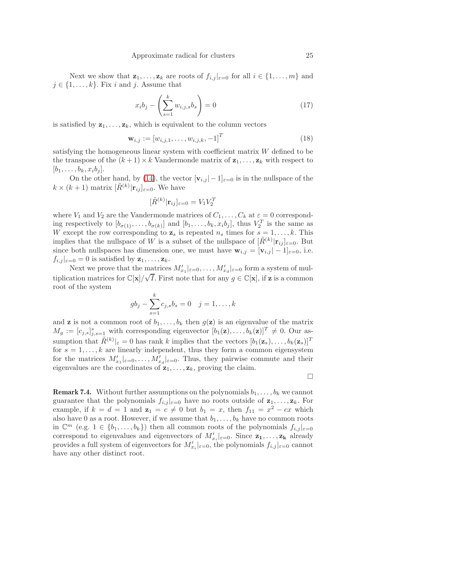Next we show that  $\mathbf{z}_1, \ldots, \mathbf{z}_k$  are roots of  $f_{i,j}|_{\varepsilon=0}$  for all  $i \in \{1, \ldots, m\}$  and  $j \in \{1, \ldots, k\}$ . Fix i and j. Assume that

$$
x_i b_j - \left(\sum_{s=1}^k w_{i,j,s} b_s\right) = 0\tag{17}
$$

is satisfied by  $z_1, \ldots, z_k$ , which is equivalent to the column vectors

$$
\mathbf{w}_{i,j} := [w_{i,j,1}, \dots, w_{i,j,k}, -1]^T
$$
\n(18)

satisfying the homogeneous linear system with coefficient matrix W defined to be the transpose of the  $(k+1) \times k$  Vandermonde matrix of  $z_1, \ldots, z_k$  with respect to  $[b_1, \ldots, b_k, x_i b_j].$ 

On the other hand, by [\(14\)](#page-22-2), the vector  $[v_{i,j}]-1]_{\varepsilon=0}$  is in the nullspace of the  $k \times (k+1)$  matrix  $[\tilde{R}^{(k)} | \mathbf{r}_{ij}]_{\varepsilon=0}$ . We have

$$
[\tilde{R}^{(k)}|\mathbf{r}_{ij}]_{\varepsilon=0} = V_1 V_2^T
$$

where  $V_1$  and  $V_2$  are the Vandermonde matrices of  $C_1, \ldots, C_k$  at  $\varepsilon = 0$  corresponding respectively to  $[b_{\sigma(1)}, \ldots, b_{\sigma(k)}]$  and  $[b_1, \ldots, b_k, x_i b_j]$ , thus  $V_2^T$  is the same as W except the row corresponding to  $z_s$  is repeated  $n_s$  times for  $s = 1, \ldots, k$ . This implies that the nullspace of W is a subset of the nullspace of  $[\tilde{R}^{(k)} | \mathbf{r}_{ij}]_{\varepsilon=0}$ . But since both nullspaces has dimension one, we must have  $\mathbf{w}_{i,j} = [\mathbf{v}_{i,j}]-1]_{\varepsilon=0}$ , i.e.  $f_{i,j}|_{\varepsilon=0} = 0$  is satisfied by  $\mathbf{z}_1, \ldots, \mathbf{z}_k$ .

Next we prove that the matrices  $M'_{x_1}|_{\varepsilon=0}, \ldots, M'_{x_d}|_{\varepsilon=0}$  form a system of multiplication matrices for  $\mathbb{C}[\mathbf{x}]/\sqrt{I}$ . First note that for any  $g \in \mathbb{C}[\mathbf{x}]$ , if **z** is a common root of the system

$$
gb_j - \sum_{s=1}^{k} c_{j,s}b_s = 0
$$
  $j = 1, ..., k$ 

and **z** is not a common root of  $b_1, \ldots, b_k$  then  $g(\mathbf{z})$  is an eigenvalue of the matrix  $M_g := [c_{j,s}]_{j,s=1}^s$  with corresponding eigenvector  $[b_1(\mathbf{z}), \ldots, b_k(\mathbf{z})]^T \neq 0$ . Our assumption that  $\tilde{R}^{(k)}|_{\varepsilon} = 0$  has rank k implies that the vectors  $[b_1(\mathbf{z}_s), \dots, b_k(\mathbf{z}_s)]^T$ for  $s = 1, \ldots, k$  are linearly independent, thus they form a common eigensystem for the matrices  $M'_{x_1}|_{\varepsilon=0}, \ldots, M'_{x_d}|_{\varepsilon=0}$ . Thus, they pairwise commute and their eigenvalues are the coordinates of  $z_1, \ldots, z_k$ , proving the claim.

 $\Box$ 

**Remark 7.4.** Without further assumptions on the polynomials  $b_1, \ldots, b_k$  we cannot guarantee that the polynomials  $f_{i,j}|_{\varepsilon=0}$  have no roots outside of  $\mathbf{z}_1, \ldots, \mathbf{z}_k$ . For example, if  $k = d = 1$  and  $\mathbf{z}_1 = c \neq 0$  but  $b_1 = x$ , then  $f_{11} = x^2 - cx$  which also have 0 as a root. However, if we assume that  $b_1, \ldots, b_k$  have no common roots in  $\mathbb{C}^m$  (e.g.  $1 \in \{b_1, \ldots, b_k\}$ ) then all common roots of the polynomials  $f_{i,j}|_{\varepsilon=0}$ correspond to eigenvalues and eigenvectors of  $M'_{x_i}|_{\varepsilon=0}$ . Since  $z_1, \ldots, z_k$  already provides a full system of eigenvectors for  $M'_{x_i}|_{\varepsilon=0}$ , the polynomials  $f_{i,j}|_{\varepsilon=0}$  cannot have any other distinct root.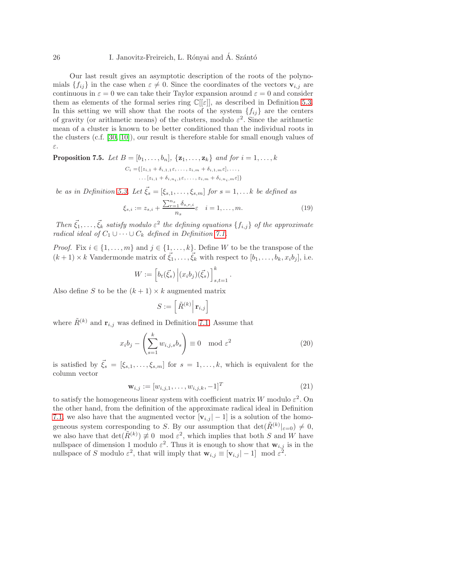## 26 I. Janovitz-Freireich, L. Rónyai and Á. Szántó

Our last result gives an asymptotic description of the roots of the polynomials  $\{f_{ij}\}\$ in the case when  $\varepsilon \neq 0$ . Since the coordinates of the vectors  $\mathbf{v}_{i,j}$  are continuous in  $\varepsilon = 0$  we can take their Taylor expansion around  $\varepsilon = 0$  and consider them as elements of the formal series ring  $\mathbb{C}[[\varepsilon]]$ , as described in Definition [5.3.](#page-14-0) In this setting we will show that the roots of the system  $\{f_{ij}\}\$ are the centers of gravity (or arithmetic means) of the clusters, modulo  $\varepsilon^2$ . Since the arithmetic mean of a cluster is known to be better conditioned than the individual roots in the clusters (c.f. [\[30,](#page-30-0) [10\]](#page-29-9)), our result is therefore stable for small enough values of ε.

<span id="page-25-0"></span>**Proposition 7.5.** *Let*  $B = [b_1, ..., b_n]$ ,  $\{z_1, ..., z_k\}$  *and for*  $i = 1, ..., k$  $C_i = \{ [z_{i,1} + \delta_{i,1,1}\varepsilon, \ldots, z_{i,m} + \delta_{i,1,m}\varepsilon], \ldots,$  $\ldots [z_{i,1} + \delta_{i,n_i,1} \varepsilon, \ldots, z_{i,m} + \delta_{i,n_i,m} \varepsilon]$ 

*be as in Definition* [5.3.](#page-14-0) Let  $\vec{\xi}_s = [\xi_{s_1}, \dots, \xi_{s_m}]$  for  $s = 1, \dots k$  be defined as

$$
\xi_{s,i} := z_{s,i} + \frac{\sum_{r=1}^{n_s} \delta_{s,r,i}}{n_s} \varepsilon \quad i = 1, \dots, m. \tag{19}
$$

.

*Then*  $\vec{\xi}_1, \ldots, \vec{\xi}_k$  *satisfy modulo*  $\varepsilon^2$  *the defining equations*  $\{f_{i,j}\}$  *of the approximate radical ideal of*  $C_1 \cup \cdots \cup C_k$  *defined in Definition [7.1.](#page-22-0)* 

*Proof.* Fix  $i \in \{1, ..., m\}$  and  $j \in \{1, ..., k\}$ . Define W to be the transpose of the  $(k+1) \times k$  Vandermonde matrix of  $\vec{\xi}_1, \ldots, \vec{\xi}_k$  with respect to  $[b_1, \ldots, b_k, x_i b_j]$ , i.e.

$$
W := \left[ b_t(\vec{\xi_s}) \left| (x_i b_j)(\vec{\xi_s}) \right]_{s,t=1}^k \right]
$$

Also define S to be the  $(k + 1) \times k$  augmented matrix

$$
S:=\left[\left.\tilde{R}^{(k)}\right|{\bf r}_{i,j}\right]
$$

where  $\tilde{R}^{(k)}$  and  $\mathbf{r}_{i,j}$  was defined in Definition [7.1.](#page-22-0) Assume that

$$
x_i b_j - \left(\sum_{s=1}^k w_{i,j,s} b_s\right) \equiv 0 \mod \varepsilon^2 \tag{20}
$$

is satisfied by  $\vec{\xi}_s = [\xi_{s,1}, \ldots, \xi_{s,m}]$  for  $s = 1, \ldots, k$ , which is equivalent for the column vector

$$
\mathbf{w}_{i,j} := [w_{i,j,1}, \dots, w_{i,j,k}, -1]^T
$$
\n(21)

to satisfy the homogeneous linear system with coefficient matrix W modulo  $\varepsilon^2$ . On the other hand, from the definition of the approximate radical ideal in Definition [7.1,](#page-22-0) we also have that the augmented vector  $[v_{i,j}]-1]$  is a solution of the homogeneous system corresponding to S. By our assumption that  $\det(\tilde{R}^{(k)}|_{\varepsilon=0}) \neq 0$ , we also have that  $\det(\tilde{R}^{(k)}) \neq 0 \mod \varepsilon^2$ , which implies that both S and W have nullspace of dimension 1 modulo  $\varepsilon^2$ . Thus it is enough to show that  $\mathbf{w}_{i,j}$  is in the nullspace of S modulo  $\varepsilon^2$ , that will imply that  $\mathbf{w}_{i,j} \equiv [\mathbf{v}_{i,j}|-1] \mod \varepsilon^2$ .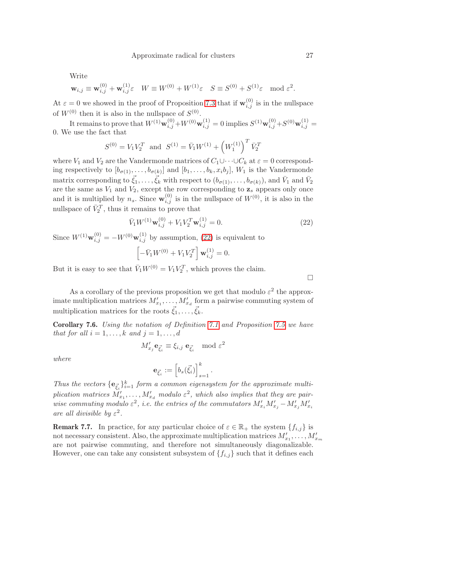Write

$$
\mathbf{w}_{i,j} \equiv \mathbf{w}_{i,j}^{(0)} + \mathbf{w}_{i,j}^{(1)} \varepsilon \quad W \equiv W^{(0)} + W^{(1)} \varepsilon \quad S \equiv S^{(0)} + S^{(1)} \varepsilon \mod \varepsilon^2.
$$

At  $\varepsilon = 0$  we showed in the proof of Proposition [7.3](#page-23-0) that if  $\mathbf{w}_{i,j}^{(0)}$  is in the nullspace of  $W^{(0)}$  then it is also in the nullspace of  $S^{(0)}$ .

It remains to prove that  $W^{(1)}\mathbf{w}_{i,j}^{(0)}+W^{(0)}\mathbf{w}_{i,j}^{(1)}=0$  implies  $S^{(1)}\mathbf{w}_{i,j}^{(0)}+S^{(0)}\mathbf{w}_{i,j}^{(1)}=0$ 0. We use the fact that

$$
S^{(0)} = V_1 V_2^T
$$
 and  $S^{(1)} = \bar{V}_1 W^{(1)} + (W_1^{(1)})^T \bar{V}_2^T$ 

where  $V_1$  and  $V_2$  are the Vandermonde matrices of  $C_1 \cup \cdots \cup C_k$  at  $\varepsilon = 0$  corresponding respectively to  $[b_{\sigma(1)}, \ldots, b_{\sigma(k)}]$  and  $[b_1, \ldots, b_k, x_i b_j]$ ,  $W_1$  is the Vandermonde matrix corresponding to  $\vec{\xi}_1,\ldots,\vec{\xi}_k$  with respect to  $(b_{\sigma(1)},\ldots,b_{\sigma(k)})$ , and  $\bar{V}_1$  and  $\bar{V}_2$ are the same as  $V_1$  and  $V_2$ , except the row corresponding to  $\mathbf{z}_s$  appears only once and it is multiplied by  $n_s$ . Since  $\mathbf{w}_{i,j}^{(0)}$  is in the nullspace of  $W^{(0)}$ , it is also in the nullspace of  $\bar{V}_2^T$ , thus it remains to prove that

<span id="page-26-0"></span>
$$
\bar{V}_1 W^{(1)} \mathbf{w}_{i,j}^{(0)} + V_1 V_2^T \mathbf{w}_{i,j}^{(1)} = 0.
$$
\n(22)

Since  $W^{(1)} \mathbf{w}_{i,j}^{(0)} = -W^{(0)} \mathbf{w}_{i,j}^{(1)}$  by assumption, [\(22\)](#page-26-0) is equivalent to

$$
\left[ -\bar{V}_1 W^{(0)} + V_1 V_2^T \right] \mathbf{w}_{i,j}^{(1)} = 0.
$$

But it is easy to see that  $\bar{V}_1 W^{(0)} = V_1 V_2^T$ , which proves the claim.

As a corollary of the previous proposition we get that modulo  $\varepsilon^2$  the approximate multiplication matrices  $M'_{x_1}, \ldots, M'_{x_d}$  form a pairwise commuting system of multiplication matrices for the roots  $\vec{\xi}_1, \ldots, \vec{\xi}_k$ .

<span id="page-26-1"></span>Corollary 7.6. *Using the notation of Definition [7.1](#page-22-0) and Proposition [7.5](#page-25-0) we have that for all*  $i = 1, \ldots, k$  *and*  $j = 1, \ldots, d$ 

$$
M'_{x_j} \mathbf{e}_{\vec{\xi}_i} \equiv \xi_{i,j} \mathbf{e}_{\vec{\xi}_i} \mod \varepsilon^2
$$

*where*

$$
\mathbf{e}_{\vec{\xi}_i} := \left[b_s(\vec{\xi}_i)\right]_{s=1}^k.
$$

*Thus the vectors*  $\{e_{\vec{\xi}_i}\}_{i=1}^k$  *form a common eigensystem for the approximate multi*plication matrices  $M'_{x_1}, \ldots, M'_{x_d}$  modulo  $\varepsilon^2$ , which also implies that they are pair*wise commuting modulo*  $\varepsilon^2$ , *i.e. the entries of the commutators*  $M'_{x_i}M'_{x_j}-M'_{x_j}M'_{x_i}$ *are all divisible by*  $\varepsilon^2$ .

**Remark 7.7.** In practice, for any particular choice of  $\varepsilon \in \mathbb{R}_+$  the system  $\{f_{i,j}\}$  is not necessary consistent. Also, the approximate multiplication matrices  $M'_{x_1}, \ldots, M'_{x_m}$ are not pairwise commuting, and therefore not simultaneously diagonalizable. However, one can take any consistent subsystem of  $\{f_{i,j}\}$  such that it defines each

 $\Box$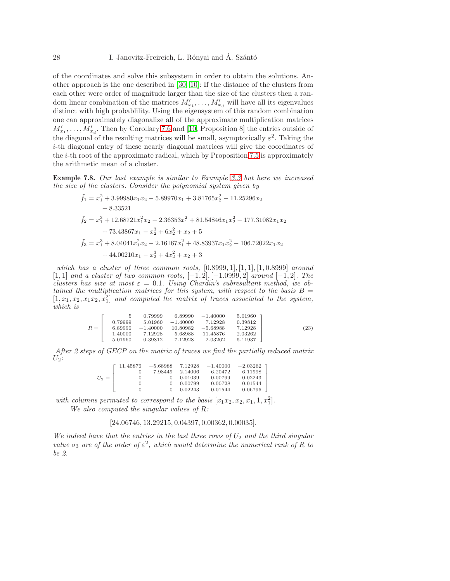of the coordinates and solve this subsystem in order to obtain the solutions. Another approach is the one described in [\[30,](#page-30-0) [10\]](#page-29-9): If the distance of the clusters from each other were order of magnitude larger than the size of the clusters then a random linear combination of the matrices  $M'_{x_1}, \ldots, M'_{x_d}$  will have all its eigenvalues distinct with high probablility. Using the eigensystem of this random combination one can approximately diagonalize all of the approximate multiplication matrices  $M'_{x_1}, \ldots, M'_{x_d}$ . Then by Corollary [7.6](#page-26-1) and [\[10,](#page-29-9) Proposition 8] the entries outside of the diagonal of the resulting matrices will be small, asymptotically  $\varepsilon^2$ . Taking the i-th diagonal entry of these nearly diagonal matrices will give the coordinates of the i-th root of the approximate radical, which by Proposition [7.5](#page-25-0) is approximately the arithmetic mean of a cluster.

Example 7.8. *Our last example is similar to Example [3.3](#page-8-1) but here we increased the size of the clusters. Consider the polynomial system given by*

$$
\tilde{f}_1 = x_1^2 + 3.99980x_1x_2 - 5.89970x_1 + 3.81765x_2^2 - 11.25296x_2
$$
  
+ 8.33521  

$$
\tilde{f}_2 = x_1^3 + 12.68721x_1^2x_2 - 2.36353x_1^2 + 81.54846x_1x_2^2 - 177.31082x_1x_2
$$
  
+ 73.43867x<sub>1</sub> - x<sub>2</sub><sup>3</sup> + 6x<sub>2</sub><sup>2</sup> + x<sub>2</sub> + 5  

$$
\tilde{f}_3 = x_1^3 + 8.04041x_1^2x_2 - 2.16167x_1^2 + 48.83937x_1x_2^2 - 106.72022x_1x_2
$$
  
+ 44.00210x<sub>1</sub> - x<sub>2</sub><sup>3</sup> + 4x<sub>2</sub><sup>2</sup> + x<sub>2</sub> + 3

*which has a cluster of three common roots,* [0.8999, 1], [1, 1], [1, 0.8999] *around* [1, 1] *and a cluster of two common roots*,  $[-1, 2]$ ,  $[-1.0999, 2]$  *around*  $[-1, 2]$ *. The clusters has size at most*  $\varepsilon = 0.1$ *. Using Chardin's subresultant method, we obtained the multiplication matrices for this system, with respect to the basis* B =  $[1, x_1, x_2, x_1x_2, x_1^2]$  and computed the matrix of traces associated to the system, *which is*

$$
R = \left[\begin{array}{cccc}5 & 0.79999 & 6.89990 & -1.40000 & 5.01960\\0.79999 & 5.01960 & -1.40000 & 7.12928 & 0.39812\\6.89990 & -1.40000 & 10.80982 & -5.68988 & 7.12928\\-1.40000 & 7.12928 & -5.68988 & 11.45876 & -2.03262\\5.01960 & 0.39812 & 7.12928 & -2.03262 & 5.11937\end{array}\right] \tag{23}
$$

*After 2 steps of GECP on the matrix of traces we find the partially reduced matrix*  $U_2$ :

|         | $\Gamma$ 11.45876 | $-5.68988$ | 7.12928 | $-1.40000$ | $-2.03262$ ]                                      |  |
|---------|-------------------|------------|---------|------------|---------------------------------------------------|--|
|         |                   | 7.98449    | 2.14006 | 6.20472    | 6.11998                                           |  |
| $U_2 =$ | $\Omega$          |            | 0.01039 | 0.00799    |                                                   |  |
|         |                   |            | 0.00799 | 0.00728    | $\begin{array}{c} 0.02243 \\ 0.01544 \end{array}$ |  |
|         |                   |            | 0.02243 | 0.01544    | 0.06796                                           |  |
|         |                   |            |         |            |                                                   |  |

with columns permuted to correspond to the basis  $[x_1x_2, x_2, x_1, 1, x_1^2]$ . *We also computed the singular values of* R*:*

[24.06746, 13.29215, 0.04397, 0.00362, 0.00035].

We indeed have that the entries in the last three rows of  $U_2$  and the third singular *value*  $\sigma_3$  *are of the order of*  $\varepsilon^2$ , *which would determine the numerical rank of* R *to be 2.*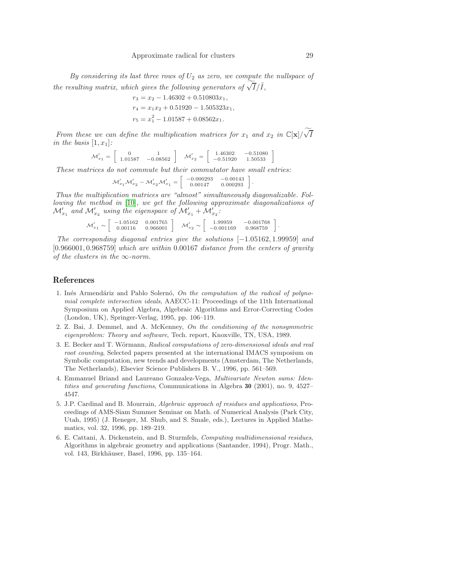*By considering its last three rows of* U<sup>2</sup> *as zero, we compute the nullspace of the resulting matrix, which gives the following generators of*  $\sqrt{I}/\tilde{I}$ ,

$$
r_3 = x_2 - 1.46302 + 0.510803x_1,
$$
  
\n
$$
r_4 = x_1x_2 + 0.51920 - 1.505323x_1,
$$
  
\n
$$
r_5 = x_1^2 - 1.01587 + 0.08562x_1.
$$

*From these we can define the multiplication matrices for*  $x_1$  and  $x_2$  in  $\mathbb{C}[\mathbf{x}]/\widetilde{\sqrt{I}}$ *in the basis*  $[1, x_1]$ *:* 

$$
\mathcal{M}'_{x_1} = \left[ \begin{array}{cc} 0 & 1 \\ 1.01587 & -0.08562 \end{array} \right] \quad \mathcal{M}'_{x_2} = \left[ \begin{array}{cc} 1.46302 & -0.51080 \\ -0.51920 & 1.50533 \end{array} \right]
$$

*These matrices do not commute but their commutator have small entries:*

$$
\mathcal{M}'_{x_1} \mathcal{M}'_{x_2} - \mathcal{M}'_{x_2} \mathcal{M}'_{x_1} = \begin{bmatrix} -0.000293 & -0.00143 \\ 0.00147 & 0.000293 \end{bmatrix}.
$$

*Thus the multiplication matrices are "almost" simultaneously diagonalizable. Following the method in* [\[10\]](#page-29-9)*, we get the following approximate diagonalizations of*  $\mathcal{M}'_{x_1}$  and  $\mathcal{M}'_{x_2}$  using the eigenspace of  $\mathcal{M}'_{x_1} + \mathcal{M}'_{x_2}$ :

$$
\mathcal{M}^{\prime}_{x_1}\sim \left[\begin{array}{ccc} -1.05162 & 0.001765 \\ 0.00116 & 0.966001 \end{array}\right] \quad \mathcal{M}^{\prime}_{x_2}\sim \left[\begin{array}{ccc} 1.99959 & -0.001768 \\ -0.001169 & 0.968759 \end{array}\right]
$$

*The corresponding diagonal entries give the solutions* [−1.05162, 1.99959] *and* [0.966001, 0.968759] *which are within* 0.00167 *distance from the centers of gravity of the clusters in the*  $\infty$ *-norm.* 

## <span id="page-28-4"></span>References

- 1. Inés Armendáriz and Pablo Solernó, On the computation of the radical of polyno*mial complete intersection ideals*, AAECC-11: Proceedings of the 11th International Symposium on Applied Algebra, Algebraic Algorithms and Error-Correcting Codes (London, UK), Springer-Verlag, 1995, pp. 106–119.
- <span id="page-28-3"></span>2. Z. Bai, J. Demmel, and A. McKenney, *On the conditioning of the nonsymmetric eigenproblem: Theory and software*, Tech. report, Knoxville, TN, USA, 1989.
- <span id="page-28-5"></span>3. E. Becker and T. Wörmann, *Radical computations of zero-dimensional ideals and real root counting*, Selected papers presented at the international IMACS symposium on Symbolic computation, new trends and developments (Amsterdam, The Netherlands, The Netherlands), Elsevier Science Publishers B. V., 1996, pp. 561–569.
- <span id="page-28-0"></span>4. Emmanuel Briand and Laureano Gonzalez-Vega, *Multivariate Newton sums: Identities and generating functions*, Communications in Algebra 30 (2001), no. 9, 4527– 4547.
- <span id="page-28-2"></span>5. J.P. Cardinal and B. Mourrain, *Algebraic approach of residues and applications*, Proceedings of AMS-Siam Summer Seminar on Math. of Numerical Analysis (Park City, Utah, 1995) (J. Reneger, M. Shub, and S. Smale, eds.), Lectures in Applied Mathematics, vol. 32, 1996, pp. 189–219.
- <span id="page-28-1"></span>6. E. Cattani, A. Dickenstein, and B. Sturmfels, *Computing multidimensional residues*, Algorithms in algebraic geometry and applications (Santander, 1994), Progr. Math., vol. 143, Birkhäuser, Basel, 1996, pp. 135–164.

.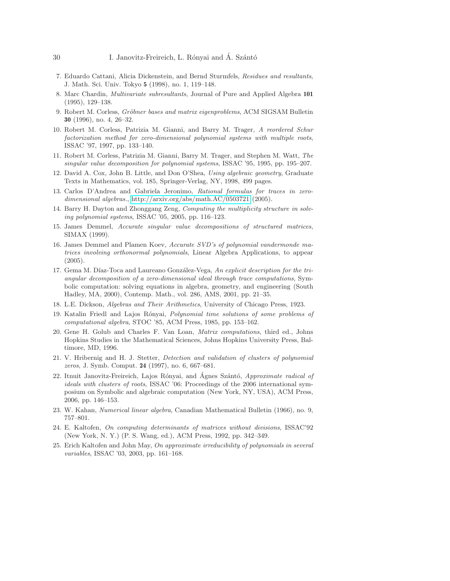- <span id="page-29-6"></span>7. Eduardo Cattani, Alicia Dickenstein, and Bernd Sturmfels, *Residues and resultants*, J. Math. Sci. Univ. Tokyo 5 (1998), no. 1, 119–148.
- <span id="page-29-3"></span>8. Marc Chardin, *Multivariate subresultants*, Journal of Pure and Applied Algebra 101 (1995), 129–138.
- <span id="page-29-2"></span>9. Robert M. Corless, *Gröbner bases and matrix eigenproblems*, ACM SIGSAM Bulletin 30 (1996), no. 4, 26–32.
- <span id="page-29-9"></span>10. Robert M. Corless, Patrizia M. Gianni, and Barry M. Trager, *A reordered Schur factorization method for zero-dimensional polynomial systems with multiple roots*, ISSAC '97, 1997, pp. 133–140.
- <span id="page-29-4"></span>11. Robert M. Corless, Patrizia M. Gianni, Barry M. Trager, and Stephen M. Watt, *The singular value decomposition for polynomial systems*, ISSAC '95, 1995, pp. 195–207.
- <span id="page-29-14"></span>12. David A. Cox, John B. Little, and Don O'Shea, *Using algebraic geometry*, Graduate Texts in Mathematics, vol. 185, Springer-Verlag, NY, 1998, 499 pages.
- <span id="page-29-7"></span>13. Carlos D'Andrea and Gabriela Jeronimo, *Rational formulas for traces in zerodimensional algebras.*,<http://arxiv.org/abs/math.AC/0503721> (2005).
- <span id="page-29-10"></span>14. Barry H. Dayton and Zhonggang Zeng, *Computing the multiplicity structure in solving polynomial systems*, ISSAC '05, 2005, pp. 116–123.
- <span id="page-29-17"></span>15. James Demmel, *Accurate singular value decompositions of structured matrices*, SIMAX (1999).
- <span id="page-29-18"></span>16. James Demmel and Plamen Koev, *Accurate SVD's of polynomial vandermonde matrices involving orthonormal polynomials*, Linear Algebra Applications, to appear (2005).
- <span id="page-29-5"></span>17. Gema M. Díaz-Toca and Laureano González-Vega, *An explicit description for the triangular decomposition of a zero-dimensional ideal through trace computations*, Symbolic computation: solving equations in algebra, geometry, and engineering (South Hadley, MA, 2000), Contemp. Math., vol. 286, AMS, 2001, pp. 21–35.
- <span id="page-29-13"></span><span id="page-29-12"></span>18. L.E. Dickson, *Algebras and Their Arithmetics*, University of Chicago Press, 1923.
- 19. Katalin Friedl and Lajos R´onyai, *Polynomial time solutions of some problems of computational algebra*, STOC '85, ACM Press, 1985, pp. 153–162.
- <span id="page-29-15"></span>20. Gene H. Golub and Charles F. Van Loan, *Matrix computations*, third ed., Johns Hopkins Studies in the Mathematical Sciences, Johns Hopkins University Press, Baltimore, MD, 1996.
- <span id="page-29-1"></span>21. V. Hribernig and H. J. Stetter, *Detection and validation of clusters of polynomial zeros*, J. Symb. Comput. 24 (1997), no. 6, 667–681.
- <span id="page-29-11"></span>22. Itnuit Janovitz-Freireich, Lajos R´onyai, and Agnes Sz´ant´o, ´ *Approximate radical of ideals with clusters of roots*, ISSAC '06: Proceedings of the 2006 international symposium on Symbolic and algebraic computation (New York, NY, USA), ACM Press, 2006, pp. 146–153.
- <span id="page-29-16"></span>23. W. Kahan, *Numerical linear algebra*, Canadian Mathematical Bulletin (1966), no. 9, 757–801.
- <span id="page-29-8"></span>24. E. Kaltofen, *On computing determinants of matrices without divisions*, ISSAC'92 (New York, N. Y.) (P. S. Wang, ed.), ACM Press, 1992, pp. 342–349.
- <span id="page-29-0"></span>25. Erich Kaltofen and John May, *On approximate irreducibility of polynomials in several variables*, ISSAC '03, 2003, pp. 161–168.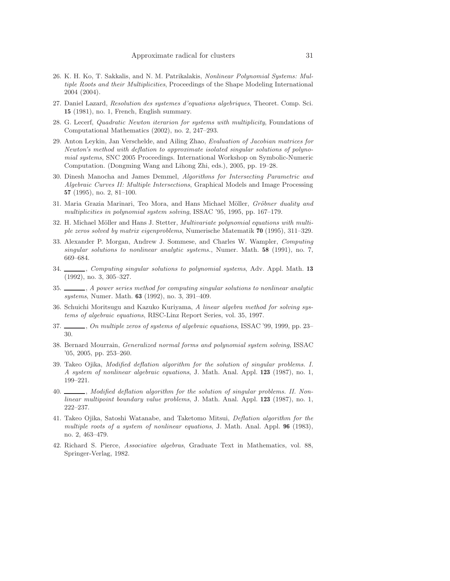- <span id="page-30-13"></span>26. K. H. Ko, T. Sakkalis, and N. M. Patrikalakis, *Nonlinear Polynomial Systems: Multiple Roots and their Multiplicities*, Proceedings of the Shape Modeling International 2004 (2004).
- <span id="page-30-1"></span>27. Daniel Lazard, *Resolution des systemes d'equations algebriques*, Theoret. Comp. Sci. 15 (1981), no. 1, French, English summary.
- <span id="page-30-6"></span>28. G. Lecerf, *Quadratic Newton iterarion for systems with multiplicity*, Foundations of Computational Mathematics (2002), no. 2, 247–293.
- <span id="page-30-7"></span>29. Anton Leykin, Jan Verschelde, and Ailing Zhao, *Evaluation of Jacobian matrices for Newton's method with deflation to approximate isolated singular solutions of polynomial systems*, SNC 2005 Proceedings. International Workshop on Symbolic-Numeric Computation. (Dongming Wang and Lihong Zhi, eds.), 2005, pp. 19–28.
- <span id="page-30-0"></span>30. Dinesh Manocha and James Demmel, *Algorithms for Intersecting Parametric and Algebraic Curves II: Multiple Intersections*, Graphical Models and Image Processing 57 (1995), no. 2, 81–100.
- <span id="page-30-12"></span>31. Maria Grazia Marinari, Teo Mora, and Hans Michael Möller, *Gröbner duality and multiplicities in polynomial system solving*, ISSAC '95, 1995, pp. 167–179.
- <span id="page-30-11"></span>32. H. Michael Möller and Hans J. Stetter, *Multivariate polynomial equations with multiple zeros solved by matrix eigenproblems*, Numerische Matematik 70 (1995), 311–329.
- <span id="page-30-8"></span>33. Alexander P. Morgan, Andrew J. Sommese, and Charles W. Wampler, *Computing singular solutions to nonlinear analytic systems.*, Numer. Math. 58 (1991), no. 7, 669–684.
- <span id="page-30-9"></span>34. , *Computing singular solutions to polynomial systems*, Adv. Appl. Math. 13 (1992), no. 3, 305–327.
- <span id="page-30-10"></span>35. , *A power series method for computing singular solutions to nonlinear analytic systems*, Numer. Math. 63 (1992), no. 3, 391–409.
- <span id="page-30-14"></span>36. Schuichi Moritsugu and Kazuko Kuriyama, *A linear algebra method for solving systems of algebraic equations*, RISC-Linz Report Series, vol. 35, 1997.
- <span id="page-30-15"></span>37. , *On multiple zeros of systems of algebraic equations*, ISSAC '99, 1999, pp. 23– 30.
- <span id="page-30-2"></span>38. Bernard Mourrain, *Generalized normal forms and polynomial system solving*, ISSAC '05, 2005, pp. 253–260.
- <span id="page-30-4"></span>39. Takeo Ojika, *Modified deflation algorithm for the solution of singular problems. I. A system of nonlinear algebraic equations*, J. Math. Anal. Appl. 123 (1987), no. 1, 199–221.
- <span id="page-30-5"></span>40. , *Modified deflation algorithm for the solution of singular problems. II. Nonlinear multipoint boundary value problems*, J. Math. Anal. Appl. 123 (1987), no. 1, 222–237.
- <span id="page-30-3"></span>41. Takeo Ojika, Satoshi Watanabe, and Taketomo Mitsui, *Deflation algorithm for the multiple roots of a system of nonlinear equations*, J. Math. Anal. Appl. 96 (1983), no. 2, 463–479.
- <span id="page-30-16"></span>42. Richard S. Pierce, *Associative algebras*, Graduate Text in Mathematics, vol. 88, Springer-Verlag, 1982.